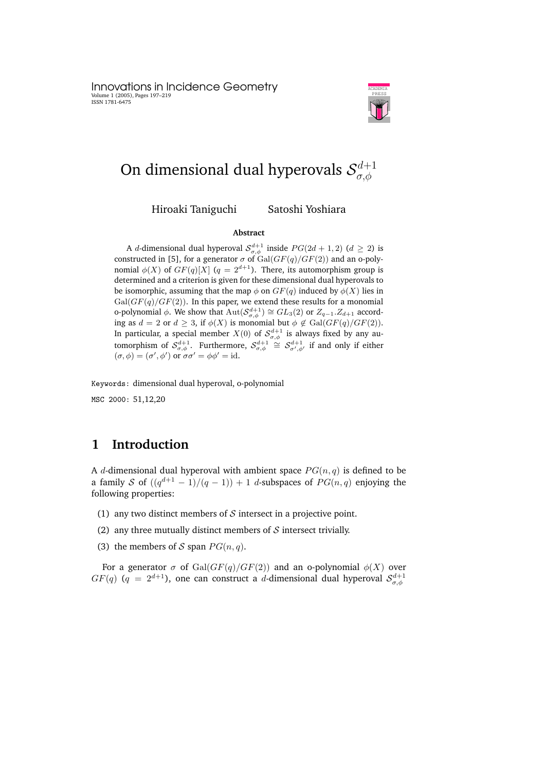Innovations in Incidence Geometry Volume 1 (2005), Pages 197–219 ISSN 1781-6475



### On dimensional dual hyperovals  $\mathcal{S}_{\sigma,\phi}^{d+1}$  $\sigma, \phi$

Hiroaki Taniguchi Satoshi Yoshiara

#### **Abstract**

A *d*-dimensional dual hyperoval  $S_{\sigma,\phi}^{d+1}$  inside  $PG(2d+1, 2)$   $(d \geq 2)$  is constructed in [5], for a generator  $\sigma$  of  $Gal(GF(q)/GF(2))$  and an o-polynomial  $\phi(X)$  of  $GF(q)[X]$  ( $q = 2^{d+1}$ ). There, its automorphism group is determined and a criterion is given for these dimensional dual hyperovals to be isomorphic, assuming that the map  $\phi$  on  $GF(q)$  induced by  $\phi(X)$  lies in  $Gal(GF(q)/GF(2))$ . In this paper, we extend these results for a monomial o-polynomial  $\phi$ . We show that  $\mathrm{Aut}(\mathcal{S}_{\sigma,\phi}^{d+1}) \cong GL_3(2)$  or  $Z_{q-1}.Z_{d+1}$  according as  $d = 2$  or  $d \geq 3$ , if  $\phi(X)$  is monomial but  $\phi \notin \text{Gal}(GF(q)/GF(2)).$ In particular, a special member  $X(0)$  of  ${\mathcal S}_{\sigma,\phi}^{d+1}$  is always fixed by any automorphism of  $\mathcal{S}^{d+1}_{\sigma,\phi}$ . Furthermore,  $\mathcal{S}^{d+1}_{\sigma,\phi} \cong \mathcal{S}^{d+1}_{\sigma',\phi'}$  if and only if either  $(\sigma, \phi) = (\sigma', \phi')$  or  $\sigma \sigma' = \phi \phi' = id$ .

Keywords: dimensional dual hyperoval, o-polynomial MSC 2000: 51,12,20

# **1 Introduction**

A d-dimensional dual hyperoval with ambient space  $PG(n, q)$  is defined to be a family S of  $((q^{d+1} - 1)/(q - 1)) + 1$  d-subspaces of  $PG(n, q)$  enjoying the following properties:

- (1) any two distinct members of  $S$  intersect in a projective point.
- (2) any three mutually distinct members of  $S$  intersect trivially.
- (3) the members of S span  $PG(n, q)$ .

For a generator  $\sigma$  of Gal( $GF(q)/GF(2)$ ) and an o-polynomial  $\phi(X)$  over  $GF(q)$   $(q = 2^{d+1})$ , one can construct a d-dimensional dual hyperoval  $\mathcal{S}^{d+1}_{\sigma,\phi}$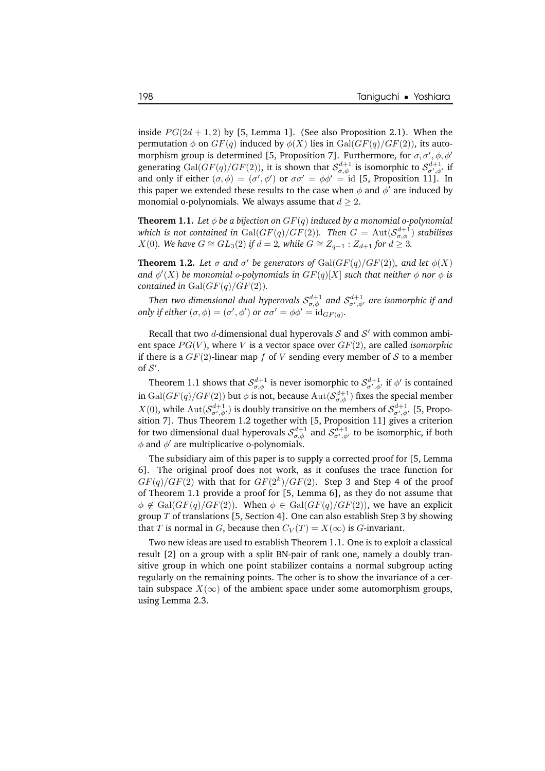inside  $PG(2d + 1, 2)$  by [5, Lemma 1]. (See also Proposition 2.1). When the permutation  $\phi$  on  $GF(q)$  induced by  $\phi(X)$  lies in  $Gal(GF(q)/GF(2))$ , its automorphism group is determined [5, Proposition 7]. Furthermore, for  $\sigma$ ,  $\sigma'$ ,  $\phi$ ,  $\phi'$ generating  $\mathrm{Gal}(GF(q)/GF(2)),$  it is shown that  $\mathcal{S}^{d+1}_{\sigma,\phi}$  is isomorphic to  $\mathcal{S}^{d+1}_{\sigma',\phi'}$  if and only if either  $(\sigma, \phi) = (\sigma', \phi')$  or  $\sigma \sigma' = \phi \phi' = id$  [5, Proposition 11]. In this paper we extended these results to the case when  $\phi$  and  $\phi'$  are induced by monomial o-polynomials. We always assume that  $d \geq 2$ .

**Theorem 1.1.** Let  $\phi$  be a bijection on  $GF(q)$  induced by a monomial o-polynomial *which is not contained in*  $\mathrm{Gal}(GF(q)/GF(2))$ *. Then*  $G = \mathrm{Aut}(\mathcal{S}^{d+1}_{\sigma,\phi})$  *stabilizes*  $X(0)$ *. We have*  $G ≅ GL_3(2)$  *if*  $d = 2$ *, while*  $G ≅ Z_{q-1} : Z_{d+1}$  *for*  $d ≥ 3$ *.* 

**Theorem 1.2.** Let  $\sigma$  and  $\sigma'$  be generators of  $Gal(GF(q)/GF(2))$ , and let  $\phi(X)$ and  $\phi'(X)$  be monomial o-polynomials in  $GF(q)[X]$  such that neither  $\phi$  nor  $\phi$  is *contained in* Gal( $GF(q)/GF(2)$ ).

Then two dimensional dual hyperovals  $\mathcal{S}^{d+1}_{\sigma,\phi}$  and  $\mathcal{S}^{d+1}_{\sigma',\phi'}$  are isomorphic if and *only if either*  $(\sigma, \phi) = (\sigma', \phi')$  *or*  $\sigma \sigma' = \phi \phi' = id_{GF(q)}$ *.* 

Recall that two *d*-dimensional dual hyperovals  $\mathcal S$  and  $\mathcal S'$  with common ambient space  $PG(V)$ , where V is a vector space over  $GF(2)$ , are called *isomorphic* if there is a  $GF(2)$ -linear map f of V sending every member of S to a member of  $\mathcal{S}'$ .

Theorem 1.1 shows that  $\mathcal{S}_{\sigma,\phi}^{d+1}$  is never isomorphic to  $\mathcal{S}_{\sigma',\phi'}^{d+1}$  if  $\phi'$  is contained in  $\mathrm{Gal}(GF(q)/GF(2))$  but  $\phi$  is not, because  $\mathrm{Aut}(\mathcal{S}^{d+1}_{\sigma,\phi})$  fixes the special member  $X(0)$ , while  $\text{Aut}(\mathcal{S}_{\sigma',\phi'}^{d+1})$  is doubly transitive on the members of  $\mathcal{S}_{\sigma',\phi'}^{d+1}$  [5, Proposition 7]. Thus Theorem 1.2 together with [5, Proposition 11] gives a criterion for two dimensional dual hyperovals  $\mathcal{S}_{\sigma,\phi}^{d+1}$  and  $\mathcal{S}_{\sigma',\phi'}^{d+1}$  to be isomorphic, if both  $\phi$  and  $\phi'$  are multiplicative o-polynomials.

The subsidiary aim of this paper is to supply a corrected proof for [5, Lemma 6]. The original proof does not work, as it confuses the trace function for  $GF(q)/GF(2)$  with that for  $GF(2<sup>k</sup>)/GF(2)$ . Step 3 and Step 4 of the proof of Theorem 1.1 provide a proof for [5, Lemma 6], as they do not assume that  $\phi \notin \text{Gal}(GF(q)/GF(2)).$  When  $\phi \in \text{Gal}(GF(q)/GF(2)),$  we have an explicit group T of translations [5, Section 4]. One can also establish Step 3 by showing that T is normal in G, because then  $C_V(T) = X(\infty)$  is G-invariant.

Two new ideas are used to establish Theorem 1.1. One is to exploit a classical result [2] on a group with a split BN-pair of rank one, namely a doubly transitive group in which one point stabilizer contains a normal subgroup acting regularly on the remaining points. The other is to show the invariance of a certain subspace  $X(\infty)$  of the ambient space under some automorphism groups, using Lemma 2.3.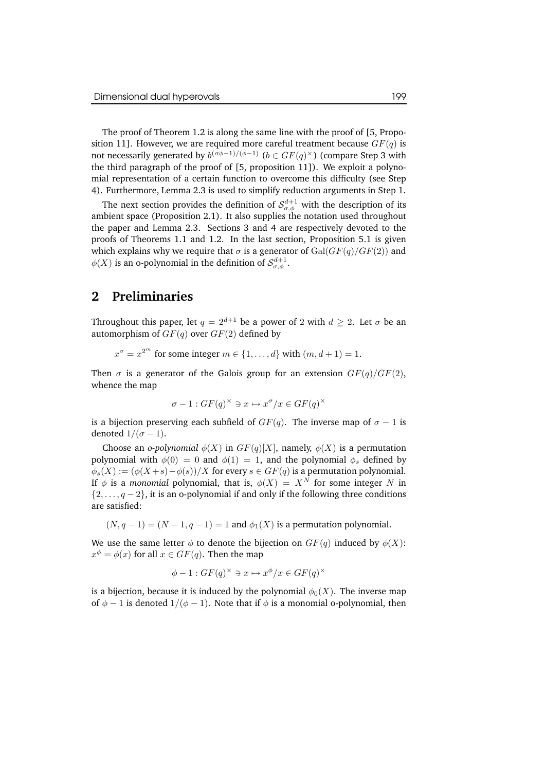The proof of Theorem 1.2 is along the same line with the proof of [5, Proposition 11]. However, we are required more careful treatment because  $GF(q)$  is not necessarily generated by  $b^{(\sigma\phi-1)/(\phi-1)}$   $(b \in GF(q)^{\times})$  (compare Step 3 with the third paragraph of the proof of [5, proposition 11]). We exploit a polynomial representation of a certain function to overcome this difficulty (see Step 4). Furthermore, Lemma 2.3 is used to simplify reduction arguments in Step 1.

The next section provides the definition of  $\mathcal{S}^{d+1}_{\sigma,\phi}$  with the description of its ambient space (Proposition 2.1). It also supplies the notation used throughout the paper and Lemma 2.3. Sections 3 and 4 are respectively devoted to the proofs of Theorems 1.1 and 1.2. In the last section, Proposition 5.1 is given which explains why we require that  $\sigma$  is a generator of  $Gal(GF(q)/GF(2))$  and  $\phi(X)$  is an o-polynomial in the definition of  $\mathcal{S}_{\sigma,\phi}^{d+1}$ .

# **2 Preliminaries**

Throughout this paper, let  $q = 2^{d+1}$  be a power of 2 with  $d \ge 2$ . Let  $\sigma$  be an automorphism of  $GF(q)$  over  $GF(2)$  defined by

$$
x^{\sigma} = x^{2^m}
$$
 for some integer  $m \in \{1, ..., d\}$  with  $(m, d + 1) = 1$ .

Then  $\sigma$  is a generator of the Galois group for an extension  $GF(q)/GF(2)$ , whence the map

$$
\sigma - 1 : GF(q)^{\times} \ni x \mapsto x^{\sigma}/x \in GF(q)^{\times}
$$

is a bijection preserving each subfield of  $GF(q)$ . The inverse map of  $\sigma - 1$  is denoted  $1/(\sigma - 1)$ .

Choose an *o-polynomial*  $\phi(X)$  in  $GF(q)[X]$ , namely,  $\phi(X)$  is a permutation polynomial with  $\phi(0) = 0$  and  $\phi(1) = 1$ , and the polynomial  $\phi_s$  defined by  $\phi_s(X) := (\phi(X+s) - \phi(s))/X$  for every  $s \in GF(q)$  is a permutation polynomial. If  $\phi$  is a *monomial* polynomial, that is,  $\phi(X) = X^N$  for some integer N in  $\{2,\ldots,q-2\}$ , it is an o-polynomial if and only if the following three conditions are satisfied:

 $(N, q - 1) = (N - 1, q - 1) = 1$  and  $\phi_1(X)$  is a permutation polynomial.

We use the same letter  $\phi$  to denote the bijection on  $GF(q)$  induced by  $\phi(X)$ :  $x^{\phi} = \phi(x)$  for all  $x \in GF(q)$ . Then the map

$$
\phi - 1 : GF(q)^{\times} \ni x \mapsto x^{\phi}/x \in GF(q)^{\times}
$$

is a bijection, because it is induced by the polynomial  $\phi_0(X)$ . The inverse map of  $\phi - 1$  is denoted  $1/(\phi - 1)$ . Note that if  $\phi$  is a monomial o-polynomial, then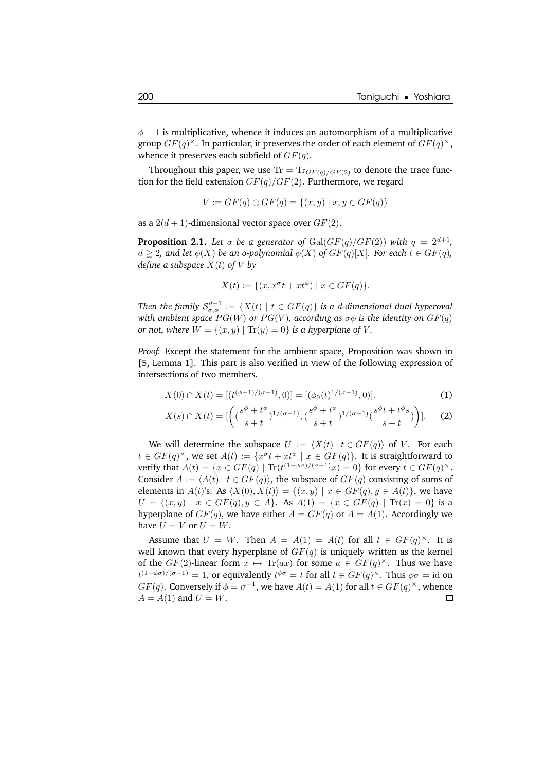$\phi$  − 1 is multiplicative, whence it induces an automorphism of a multiplicative group  $GF(q)^{\times}$ . In particular, it preserves the order of each element of  $GF(q)^{\times}$ , whence it preserves each subfield of  $GF(q)$ .

Throughout this paper, we use  $Tr = Tr<sub>GF(a)/GF(2)</sub>$  to denote the trace function for the field extension  $GF(q)/GF(2)$ . Furthermore, we regard

$$
V := GF(q) \oplus GF(q) = \{(x, y) \mid x, y \in GF(q)\}\
$$

as a  $2(d+1)$ -dimensional vector space over  $GF(2)$ .

**Proposition 2.1.** Let  $\sigma$  be a generator of  $Gal(GF(q)/GF(2))$  with  $q = 2^{d+1}$ ,  $d \geq 2$ , and let  $\phi(X)$  be an o-polynomial  $\phi(X)$  of  $GF(q)[X]$ *. For each*  $t \in GF(q)$ *, define a subspace*  $X(t)$  *of*  $V$  *by* 

$$
X(t) := \{ (x, x^{\sigma}t + xt^{\phi}) \mid x \in GF(q) \}.
$$

 $\text{Then the family } \mathcal{S}^{d+1}_{\sigma,\phi} := \{X(t) \mid t \in GF(q)\} \text{ is a $d$-dimensional dual hyperoval }$ *with ambient space*  $PG(W)$  *or*  $PG(V)$ *, according as*  $\sigma\phi$  *is the identity on*  $GF(q)$ *or not,* where  $W = \{(x, y) | \text{Tr}(y) = 0\}$  *is a hyperplane of V*.

*Proof.* Except the statement for the ambient space, Proposition was shown in [5, Lemma 1]. This part is also verified in view of the following expression of intersections of two members.

$$
X(0) \cap X(t) = [(t^{(\phi - 1)/(\sigma - 1)}, 0)] = [(\phi_0(t)^{1/(\sigma - 1)}, 0)].
$$
\n(1)

$$
X(s) \cap X(t) = [\left( \left( \frac{s^{\phi} + t^{\phi}}{s + t} \right)^{1/(\sigma - 1)}, \left( \frac{s^{\phi} + t^{\phi}}{s + t} \right)^{1/(\sigma - 1)} \left( \frac{s^{\phi}t + t^{\phi}s}{s + t} \right) \right)].
$$
 (2)

We will determine the subspace  $U := \langle X(t) | t \in GF(q) \rangle$  of V. For each  $t \in GF(q)^{\times}$ , we set  $A(t) := \{x^{\sigma}t + xt^{\phi} \mid x \in GF(q)\}$ . It is straightforward to verify that  $A(t) = \{x \in GF(q) \mid \text{Tr}(t^{(1-\phi\sigma)/(\sigma-1)}x) = 0\}$  for every  $t \in GF(q)^{\times}$ . Consider  $A := \langle A(t) | t \in GF(q) \rangle$ , the subspace of  $GF(q)$  consisting of sums of elements in  $A(t)$ 's. As  $\langle X(0), X(t) \rangle = \{(x, y) | x \in GF(q), y \in A(t)\}\$ , we have  $U = \{(x, y) \mid x \in GF(q), y \in A\}.$  As  $A(1) = \{x \in GF(q) \mid \text{Tr}(x) = 0\}$  is a hyperplane of  $GF(q)$ , we have either  $A = GF(q)$  or  $A = A(1)$ . Accordingly we have  $U = V$  or  $U = W$ .

Assume that  $U = W$ . Then  $A = A(1) = A(t)$  for all  $t \in GF(q)^{\times}$ . It is well known that every hyperplane of  $GF(q)$  is uniquely written as the kernel of the  $GF(2)$ -linear form  $x \mapsto Tr(ax)$  for some  $a \in GF(q)^{\times}$ . Thus we have  $t^{(1-\phi\sigma)/(\sigma-1)}=1$ , or equivalently  $t^{\phi\sigma}=t$  for all  $t\in GF(q)^{\times}$ . Thus  $\phi\sigma=\mathrm{id}$  on  $GF(q)$ . Conversely if  $\phi = \sigma^{-1}$ , we have  $A(t) = A(1)$  for all  $t \in GF(q)^{\times}$ , whence  $A = A(1)$  and  $U = W$ .  $\Box$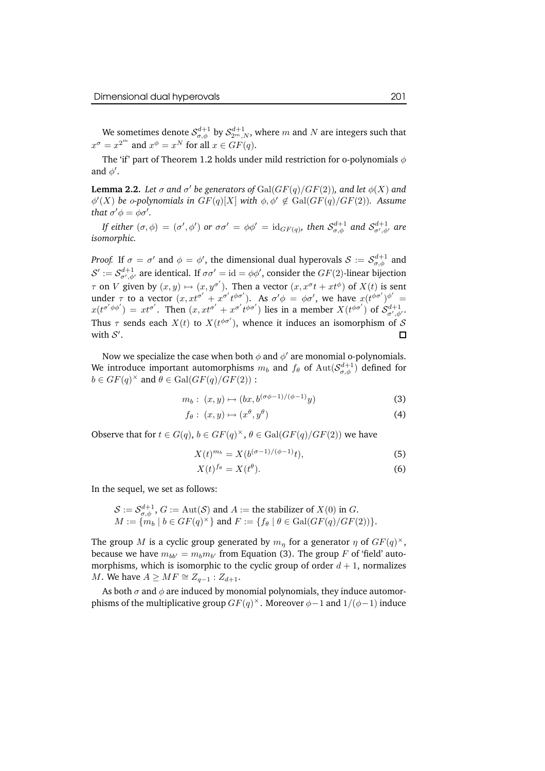We sometimes denote  $\mathcal{S}_{\sigma,\phi}^{d+1}$  by  $\mathcal{S}_{2^m,N}^{d+1}$ , where  $m$  and  $N$  are integers such that  $x^{\sigma} = x^{2^m}$  and  $x^{\phi} = x^N$  for all  $x \in GF(q)$ .

The 'if' part of Theorem 1.2 holds under mild restriction for o-polynomials  $\phi$ and  $\phi'.$ 

**Lemma 2.2.** Let  $\sigma$  and  $\sigma'$  be generators of  $\operatorname{Gal}(GF(q)/GF(2)),$  and let  $\phi(X)$  and  $\phi'(X)$  *be* o-polynomials in  $GF(q)[X]$  with  $\phi, \phi' \notin Gal(GF(q)/GF(2))$ . Assume *that*  $\sigma' \phi = \phi \sigma'$ .

*If either*  $(\sigma, \phi) = (\sigma', \phi')$  *or*  $\sigma \sigma' = \phi \phi' = \mathrm{id}_{GF(q)},$  *then*  $\mathcal{S}^{d+1}_{\sigma, \phi}$  *and*  $\mathcal{S}^{d+1}_{\sigma', \phi'}$  *are isomorphic.*

*Proof.* If  $\sigma = \sigma'$  and  $\phi = \phi'$ , the dimensional dual hyperovals  $\mathcal{S} := \mathcal{S}^{d+1}_{\sigma,\phi}$  and  $\mathcal{S}':=\mathcal{S}^{d+1}_{\sigma',\phi'}$  are identical. If  $\sigma\sigma'=\mathrm{id}=\phi\phi',$  consider the  $GF(2)$ -linear bijection  $\tau$  on V given by  $(x, y) \mapsto (x, y^{\sigma'})$ . Then a vector  $(x, x^{\sigma}t + xt^{\phi})$  of  $X(t)$  is sent under  $\tau$  to a vector  $(x, x t^{\sigma'} + x^{\sigma'} t^{\phi \sigma'})$ . As  $\sigma' \phi = \phi \sigma'$ , we have  $x (t^{\phi \sigma'})^{\phi'} =$  $x(t^{\sigma'\phi\phi'}) = xt^{\sigma'}$ . Then  $(x, xt^{\sigma'} + x^{\sigma'}t^{\phi\sigma'})$  lies in a member  $X(t^{\phi\sigma'})$  of  $S^{d+1}_{\sigma',\phi'}$ . Thus  $\tau$  sends each  $X(t)$  to  $X(t^{\phi\sigma'})$ , whence it induces an isomorphism of S with  $S'$ .

Now we specialize the case when both  $\phi$  and  $\phi'$  are monomial o-polynomials. We introduce important automorphisms  $m_b$  and  $f_\theta$  of  $\mathrm{Aut}(\mathcal{S}^{d+1}_{\sigma,\phi})$  defined for  $b \in GF(q)^{\times}$  and  $\theta \in Gal(GF(q)/GF(2))$  :

$$
m_b: (x, y) \mapsto (bx, b^{(\sigma\phi - 1)/(\phi - 1)}y)
$$
\n
$$
(3)
$$

$$
f_{\theta}: (x, y) \mapsto (x^{\theta}, y^{\theta}) \tag{4}
$$

Observe that for  $t \in G(q)$ ,  $b \in GF(q)^{\times}$ ,  $\theta \in Gal(GF(q)/GF(2))$  we have

$$
X(t)^{m_b} = X(b^{(\sigma-1)/(\phi-1)}t),
$$
\n(5)

$$
X(t)^{f_{\theta}} = X(t^{\theta}).\tag{6}
$$

In the sequel, we set as follows:

$$
S := S_{\sigma,\phi}^{d+1}, G := \text{Aut}(\mathcal{S}) \text{ and } A := \text{the stabilizer of } X(0) \text{ in } G.
$$
  

$$
M := \{m_b \mid b \in GF(q)^{\times}\} \text{ and } F := \{f_{\theta} \mid \theta \in \text{Gal}(GF(q)/GF(2))\}.
$$

The group  $M$  is a cyclic group generated by  $m_\eta$  for a generator  $\eta$  of  $GF(q)^\times,$ because we have  $m_{bb'} = m_b m_{b'}$  from Equation (3). The group F of 'field' automorphisms, which is isomorphic to the cyclic group of order  $d + 1$ , normalizes *M*. We have  $A \ge MF \cong Z_{q-1} : Z_{d+1}$ .

As both  $\sigma$  and  $\phi$  are induced by monomial polynomials, they induce automorphisms of the multiplicative group  $GF(q)^{\times}$ . Moreover  $\phi-1$  and  $1/(\phi-1)$  induce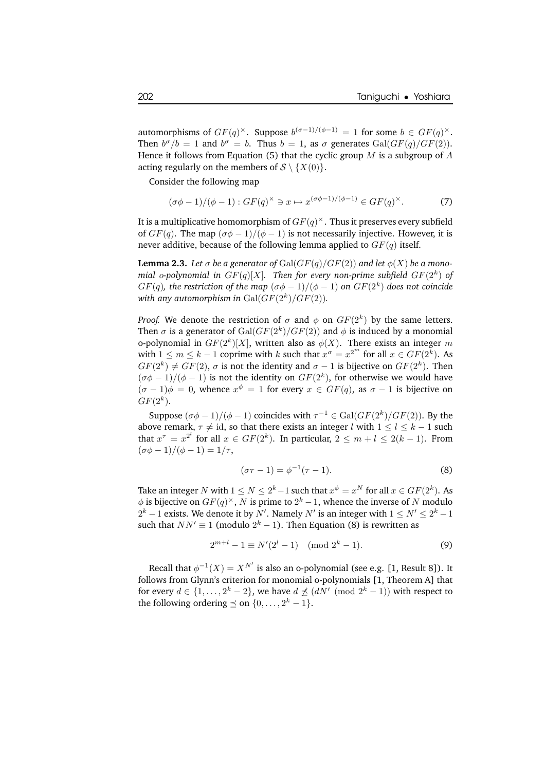automorphisms of  $GF(q)^{\times}$ . Suppose  $b^{(\sigma-1)/(\phi-1)} = 1$  for some  $b \in GF(q)^{\times}$ . Then  $b^{\sigma}/b = 1$  and  $b^{\sigma} = b$ . Thus  $b = 1$ , as  $\sigma$  generates  $Gal(GF(q)/GF(2))$ . Hence it follows from Equation (5) that the cyclic group  $M$  is a subgroup of  $A$ acting regularly on the members of  $S \setminus \{X(0)\}.$ 

Consider the following map

$$
(\sigma\phi - 1)/(\phi - 1) : GF(q)^{\times} \ni x \mapsto x^{(\sigma\phi - 1)/(\phi - 1)} \in GF(q)^{\times}.
$$
 (7)

It is a multiplicative homomorphism of  $GF(q)^{\times}.$  Thus it preserves every subfield of  $GF(q)$ . The map  $(\sigma\phi - 1)/(\phi - 1)$  is not necessarily injective. However, it is never additive, because of the following lemma applied to  $GF(q)$  itself.

**Lemma 2.3.** *Let*  $\sigma$  *be a* generator of  $Gal(GF(q)/GF(2))$  and let  $\phi(X)$  *be a* mono*mial o-polynomial in*  $GF(q)[X]$ *. Then for every non-prime subfield*  $GF(2^k)$  *of*  $GF(q),$  *the restriction of the map*  $(\sigma\phi-1)/(\phi-1)$  *on*  $GF(2^k)$  *does not coincide* with any automorphism in  $\text{Gal}(GF(2^k)/GF(2)).$ 

*Proof.* We denote the restriction of  $\sigma$  and  $\phi$  on  $GF(2^k)$  by the same letters. Then  $\sigma$  is a generator of  $\mathrm{Gal}(GF(2^k)/GF(2))$  and  $\phi$  is induced by a monomial o-polynomial in  $GF(2^k)[X]$ , written also as  $\phi(X)$ . There exists an integer m with  $1 \le m \le k - 1$  coprime with k such that  $x^{\sigma} = x^{2^m}$  for all  $x \in GF(2^k)$ . As  $GF(2^k) \neq GF(2)$ ,  $\sigma$  is not the identity and  $\sigma - 1$  is bijective on  $GF(2^k)$ . Then  $(\sigma\phi - 1)/(\phi - 1)$  is not the identity on  $GF(2^k)$ , for otherwise we would have  $(\sigma - 1)\phi = 0$ , whence  $x^{\phi} = 1$  for every  $x \in GF(q)$ , as  $\sigma - 1$  is bijective on  $GF(2^k)$ .

Suppose  $(\sigma\phi - 1)/(\phi - 1)$  coincides with  $\tau^{-1} \in \text{Gal}(GF(2^k)/GF(2))$ . By the above remark,  $\tau \neq id$ , so that there exists an integer l with  $1 \leq l \leq k - 1$  such that  $x^{\tau} = x^{2^l}$  for all  $x \in GF(2^k)$ . In particular,  $2 \le m + l \le 2(k - 1)$ . From  $(\sigma\phi - 1)/(\phi - 1) = 1/\tau$ ,

$$
(\sigma \tau - 1) = \phi^{-1}(\tau - 1).
$$
 (8)

Take an integer N with  $1 \le N \le 2^k - 1$  such that  $x^{\phi} = x^N$  for all  $x \in GF(2^k)$ . As  $\phi$  is bijective on  $GF(q)^{\times}$ , N is prime to  $2^{k} - 1$ , whence the inverse of N modulo  $2^k-1$  exists. We denote it by  $N'.$  Namely  $N'$  is an integer with  $1\le N'\le 2^k-1$ such that  $NN' \equiv 1 \pmod{2^k - 1}$ . Then Equation (8) is rewritten as

$$
2^{m+l} - 1 \equiv N'(2^l - 1) \pmod{2^k - 1}.
$$
 (9)

Recall that  $\phi^{-1}(X) = X^{N'}$  is also an o-polynomial (see e.g. [1, Result 8]). It follows from Glynn's criterion for monomial o-polynomials [1, Theorem A] that for every  $d \in \{1, \ldots, 2^k - 2\}$ , we have  $d \npreceq (dN' \pmod{2^k - 1})$  with respect to the following ordering  $\preceq$  on  $\{0, \ldots, 2^k - 1\}.$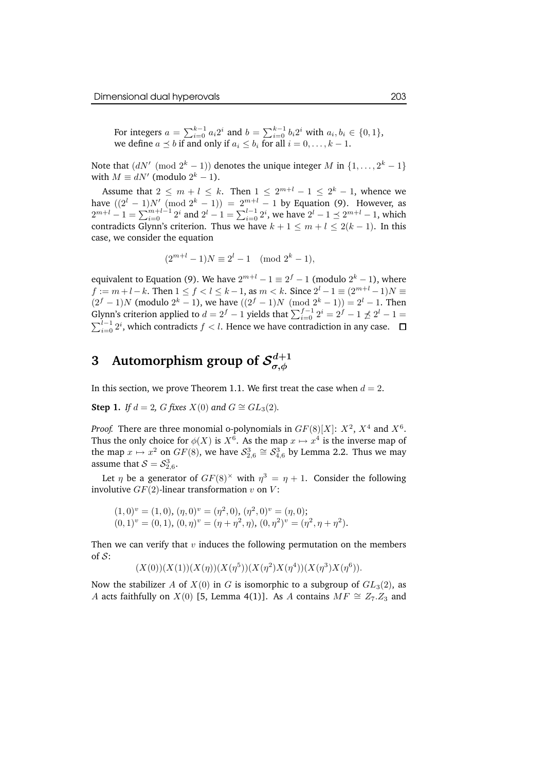For integers  $a = \sum_{i=0}^{k-1} a_i 2^i$  and  $b = \sum_{i=0}^{k-1} b_i 2^i$  with  $a_i, b_i \in \{0, 1\}$ , we define  $a \preceq b$  if and only if  $a_i \leq b_i$  for all  $i = 0, \ldots, k - 1$ .

Note that  $(dN' \pmod{2^k - 1})$  denotes the unique integer M in  $\{1, \ldots, 2^k - 1\}$ with  $M \equiv dN'$  (modulo  $2^k - 1$ ).

Assume that  $2 \leq m + l \leq k$ . Then  $1 \leq 2^{m+l} - 1 \leq 2^k - 1$ , whence we have  $((2^l - 1)N' \pmod{2^k - 1} = 2^{m+l} - 1$  by Equation (9). However, as  $2^{m+l}-1 = \sum_{i=0}^{m+l-1} 2^i$  and  $2^l - 1 = \sum_{i=0}^{l-1} 2^i$ , we have  $2^l - 1 \preceq 2^{m+l} - 1$ , which contradicts Glynn's criterion. Thus we have  $k + 1 \le m + l \le 2(k - 1)$ . In this case, we consider the equation

$$
(2^{m+l}-1)N \equiv 2^l - 1 \pmod{2^k - 1},
$$

equivalent to Equation (9). We have  $2^{m+l} - 1 \equiv 2^f - 1$  (modulo  $2^k - 1$ ), where  $f := m + l - k$ . Then  $1 \le f < l \le k - 1$ , as  $m < k$ . Since  $2^l - 1 \equiv (2^{m+l} - 1)N \equiv$  $(2^f - 1)N$  (modulo  $2^k - 1$ ), we have  $((2^f - 1)N \pmod{2^k - 1} = 2^l - 1$ . Then Glynn's criterion applied to  $d = 2^f - 1$  yields that  $\sum_{i=0}^{f-1} 2^i = 2^f - 1 \npreceq 2^l - 1 =$ <br> $\sum_{i=0}^{l-1} 2^i$ , which contradicts  $f < l$ . Hence we have contradiction in any case.  $\Box$  $\sum_{i=0}^{l-1} 2^i$ , which contradicts  $f < l$ . Hence we have contradiction in any case.

#### **3** Automorphism group of  $\mathcal{S}_{\sigma,\phi}^{d+1}$  $\sigma,\phi$

In this section, we prove Theorem 1.1. We first treat the case when  $d = 2$ .

**Step 1.** *If*  $d = 2$ , *G fixes*  $X(0)$  *and*  $G \cong GL_3(2)$ *.* 

*Proof.* There are three monomial o-polynomials in  $GF(8)[X]$ :  $X^2$ ,  $X^4$  and  $X^6$ . Thus the only choice for  $\phi(X)$  is  $X^6$ . As the map  $x \mapsto x^4$  is the inverse map of the map  $x \mapsto x^2$  on  $GF(8)$ , we have  $S_{2,6}^3 \cong S_{4,6}^3$  by Lemma 2.2. Thus we may assume that  $S = S_{2,6}^3$ .

Let  $\eta$  be a generator of  $GF(8)^{\times}$  with  $\eta^3 = \eta + 1$ . Consider the following involutive  $GF(2)$ -linear transformation v on V:

$$
(1,0)^{v} = (1,0), (\eta,0)^{v} = (\eta^{2},0), (\eta^{2},0)^{v} = (\eta,0);
$$
  

$$
(0,1)^{v} = (0,1), (0,\eta)^{v} = (\eta+\eta^{2},\eta), (0,\eta^{2})^{v} = (\eta^{2},\eta+\eta^{2}).
$$

Then we can verify that  $v$  induces the following permutation on the members of  $S$ :

 $(X(0))(X(1))(X(\eta))(X(\eta^5))(X(\eta^2)X(\eta^4))(X(\eta^3)X(\eta^6)).$ 

Now the stabilizer A of  $X(0)$  in G is isomorphic to a subgroup of  $GL_3(2)$ , as A acts faithfully on  $X(0)$  [5, Lemma 4(1)]. As A contains  $MF \cong Z_7.Z_3$  and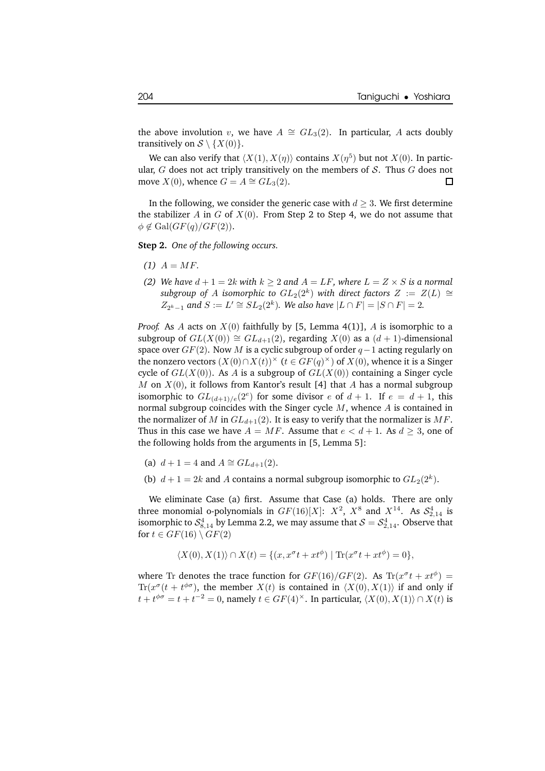the above involution v, we have  $A \cong GL_3(2)$ . In particular, A acts doubly transitively on  $S \setminus \{X(0)\}.$ 

We can also verify that  $\langle X(1), X(\eta) \rangle$  contains  $X(\eta^5)$  but not  $X(0)$ . In particular, *G* does not act triply transitively on the members of *S*. Thus *G* does not move *X*(0), whence *G* = *A*  $\cong$  *GL*<sub>3</sub>(2). move  $X(0)$ , whence  $G = A \cong GL<sub>3</sub>(2)$ .

In the following, we consider the generic case with  $d \geq 3$ . We first determine the stabilizer A in G of  $X(0)$ . From Step 2 to Step 4, we do not assume that  $\phi \notin \text{Gal}(GF(q)/GF(2)).$ 

**Step 2.** *One of the following occurs.*

- $(1)$   $A = MF$ .
- *(2) We have*  $d + 1 = 2k$  *with*  $k \geq 2$  *and*  $A = LF$ *, where*  $L = Z \times S$  *is a normal*  $s$ ubgroup of  $A$  isomorphic to  $GL_2(2^k)$  with direct factors  $Z \ := \ Z(L) \ \cong$  $Z_{2^k-1}$  and  $S := L' \cong SL_2(2^k)$ *. We also have*  $|L \cap F| = |S \cap F| = 2$ *.*

*Proof.* As A acts on  $X(0)$  faithfully by [5, Lemma 4(1)], A is isomorphic to a subgroup of  $GL(X(0)) \cong GL_{d+1}(2)$ , regarding  $X(0)$  as a  $(d+1)$ -dimensional space over  $GF(2)$ . Now M is a cyclic subgroup of order  $q-1$  acting regularly on the nonzero vectors  $(X(0) \cap X(t))^{\times}$   $(t \in GF(q)^{\times})$  of  $X(0)$ , whence it is a Singer cycle of  $GL(X(0))$ . As A is a subgroup of  $GL(X(0))$  containing a Singer cycle M on  $X(0)$ , it follows from Kantor's result [4] that A has a normal subgroup isomorphic to  $GL_{(d+1)/e}(2^e)$  for some divisor e of  $d+1$ . If  $e = d+1$ , this normal subgroup coincides with the Singer cycle  $M$ , whence  $A$  is contained in the normalizer of M in  $GL_{d+1}(2)$ . It is easy to verify that the normalizer is MF. Thus in this case we have  $A = MF$ . Assume that  $e < d + 1$ . As  $d \geq 3$ , one of the following holds from the arguments in [5, Lemma 5]:

(a)  $d + 1 = 4$  and  $A \cong GL_{d+1}(2)$ .

(b)  $d+1=2k$  and A contains a normal subgroup isomorphic to  $GL_2(2^k)$ .

We eliminate Case (a) first. Assume that Case (a) holds. There are only three monomial o-polynomials in  $GF(16)[X]$ :  $X^2$ ,  $X^8$  and  $X^{14}$ . As  $S^4_{2,14}$  is isomorphic to  $\mathcal{S}^4_{8,14}$  by Lemma 2.2, we may assume that  $\mathcal{S} = \mathcal{S}^4_{2,14}$ . Observe that for  $t \in GF(16) \setminus GF(2)$ 

$$
\langle X(0), X(1) \rangle \cap X(t) = \{ (x, x^{\sigma}t + xt^{\phi}) \mid \text{Tr}(x^{\sigma}t + xt^{\phi}) = 0 \},
$$

where Tr denotes the trace function for  $GF(16)/GF(2)$ . As  $Tr(x^{\sigma}t + xt^{\phi}) =$  $\text{Tr}(x^{\sigma}(t + t^{\phi\sigma}))$ , the member  $X(t)$  is contained in  $\langle X(0), X(1) \rangle$  if and only if  $t + t^{\phi\sigma} = t + t^{-2} = 0$ , namely  $t \in GF(4)^\times$ . In particular,  $\langle X(0), X(1) \rangle \cap X(t)$  is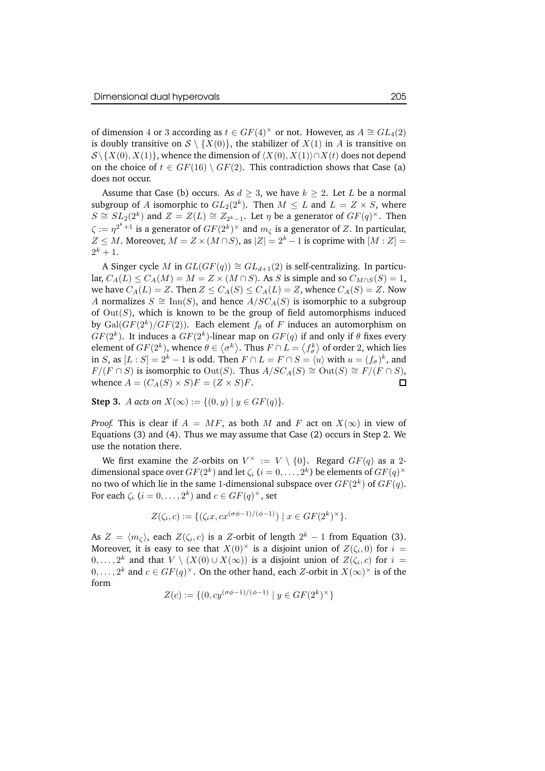of dimension 4 or 3 according as  $t \in GF(4)^\times$  or not. However, as  $A \cong GL_4(2)$ is doubly transitive on  $S \setminus \{X(0)\}\)$ , the stabilizer of  $X(1)$  in A is transitive on  $S\backslash {X(0), X(1)}$ , whence the dimension of  $\langle X(0), X(1)\rangle \cap X(t)$  does not depend on the choice of  $t \in GF(16) \setminus GF(2)$ . This contradiction shows that Case (a) does not occur.

Assume that Case (b) occurs. As  $d \geq 3$ , we have  $k \geq 2$ . Let L be a normal subgroup of A isomorphic to  $GL_2(2^k)$ . Then  $M \leq L$  and  $L = Z \times S$ , where  $S \cong SL_2(2^k)$  and  $Z = Z(L) \cong Z_{2^k-1}$ . Let  $\eta$  be a generator of  $GF(q)^{\times}$ . Then  $\zeta:=\eta^{2^k+1}$  is a generator of  $GF(2^k)^\times$  and  $m_\zeta$  is a generator of  $Z.$  In particular,  $Z \leq M$ . Moreover,  $M = Z \times (M \cap S)$ , as  $|Z| = 2<sup>k</sup> - 1$  is coprime with  $[M : Z] =$  $2^k + 1$ .

A Singer cycle M in  $GL(GF(q)) \cong GL_{d+1}(2)$  is self-centralizing. In particular,  $C_A(L) \leq C_A(M) = M = Z \times (M \cap S)$ . As S is simple and so  $C_{M \cap S}(S) = 1$ , we have  $C_A(L) = Z$ . Then  $Z \leq C_A(S) \leq C_A(L) = Z$ , whence  $C_A(S) = Z$ . Now A normalizes  $S \cong \text{Inn}(S)$ , and hence  $A/SC<sub>A</sub>(S)$  is isomorphic to a subgroup of  $Out(S)$ , which is known to be the group of field automorphisms induced by  $Gal(GF(2^k)/GF(2))$ . Each element  $f_{\theta}$  of  $F$  induces an automorphism on  $GF(2^k)$ . It induces a  $GF(2^k)$ -linear map on  $GF(q)$  if and only if  $\theta$  fixes every element of  $GF(2^k)$ , whence  $\theta \in \big\langle \sigma^k \big\rangle$ . Thus  $F \cap L = \big\langle f_\sigma^k \big\rangle$  of order 2, which lies in *S*, as  $[L : S] = 2<sup>k</sup> - 1$  is odd. Then  $F \cap L = F \cap S = \langle u \rangle$  with  $u = (f_{\sigma})<sup>k</sup>$ , and  $F/(F \cap S)$  is isomorphic to Out(S). Thus  $A/SC_A(S) \cong$  Out(S)  $\cong$   $F/(F \cap S)$ , whence  $A = (C_A(S) \times S)F = (Z \times S)F$ . □ whence  $A = (C_A(S) \times S)F = (Z \times S)F$ .

**Step 3.** A *acts on*  $X(\infty) := \{(0, y) | y \in GF(q)\}.$ 

*Proof.* This is clear if  $A = MF$ , as both M and F act on  $X(\infty)$  in view of Equations (3) and (4). Thus we may assume that Case (2) occurs in Step 2. We use the notation there.

We first examine the Z-orbits on  $V^{\times} := V \setminus \{0\}$ . Regard  $GF(q)$  as a 2dimensional space over  $GF(2^k)$  and let  $\zeta_i$   $(i=0,\ldots,2^k)$  be elements of  $GF(q)^{\times}$ no two of which lie in the same 1-dimensional subspace over  $GF(2^k)$  of  $GF(q).$ For each  $\zeta_i$   $(i = 0, \ldots, 2^k)$  and  $c \in GF(q)^{\times}$ , set

$$
Z(\zeta_i, c) := \{ (\zeta_i x, cx^{(\sigma \phi - 1)/(\phi - 1)}) \mid x \in GF(2^k)^{\times} \}.
$$

As  $Z = \langle m_\zeta \rangle$ , each  $Z(\zeta_i, c)$  is a Z-orbit of length  $2^k - 1$  from Equation (3). Moreover, it is easy to see that  $X(0)^\times$  is a disjoint union of  $Z(\zeta_i,0)$  for  $i=$  $(0, \ldots, 2^k)$  and that  $V \setminus (X(0) \cup X(\infty))$  is a disjoint union of  $Z(\zeta_i, c)$  for  $i =$  $0, \ldots, 2^k$  and  $c \in GF(q)^{\times}$ . On the other hand, each Z-orbit in  $X(\infty)^{\times}$  is of the form

$$
Z(c) := \{ (0, c y^{(\sigma \phi - 1)/(\phi - 1)} \mid y \in GF(2^k)^{\times} \}
$$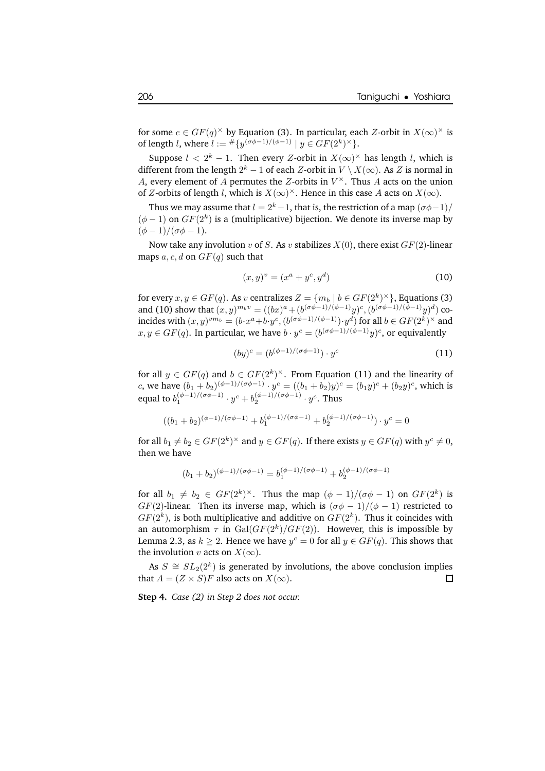for some  $c \in GF(q)^{\times}$  by Equation (3). In particular, each Z-orbit in  $X(\infty)^{\times}$  is of length *l*, where  $l := #\{y^{(\sigma\phi - 1)/(\phi - 1)} \mid y \in GF(2^k)^{\times}\}.$ 

Suppose  $l < 2^k - 1$ . Then every Z-orbit in  $X(\infty)^\times$  has length l, which is different from the length  $2^k - 1$  of each  $Z$ -orbit in  $V \setminus X(\infty)$ . As  $Z$  is normal in A, every element of A permutes the Z-orbits in  $V^{\times}$ . Thus A acts on the union of Z-orbits of length l, which is  $X(\infty)^\times$ . Hence in this case A acts on  $X(\infty)$ .

Thus we may assume that  $l = 2<sup>k</sup> - 1$ , that is, the restriction of a map  $(\sigma\phi - 1)$ /  $(\phi - 1)$  on  $GF(2^k)$  is a (multiplicative) bijection. We denote its inverse map by  $(\phi - 1)/(\sigma \phi - 1).$ 

Now take any involution v of S. As v stabilizes  $X(0)$ , there exist  $GF(2)$ -linear maps a, c, d on  $GF(q)$  such that

$$
(x, y)^{v} = (x^{a} + y^{c}, y^{d})
$$
 (10)

for every  $x, y \in GF(q)$ . As v centralizes  $Z = \{m_b | b \in GF(2^k)^{\times}\}\$ , Equations (3) and (10) show that  $(x,y)^{m_b v} = ((bx)^a + (b^{(\sigma\phi-1)/(\phi-1)}y)^c, (b^{(\sigma\phi-1)/(\phi-1)}y)^d)$  coincides with  $(x,y)^{vm_b}=(b\cdot x^a+b\cdot y^c,(b^{(\sigma\phi-1)/(\phi-1)})\cdot y^d)$  for all  $b\in GF(2^k)^\times$  and  $x, y \in GF(q)$ . In particular, we have  $b \cdot y^c = (b^{(\sigma \phi - 1)/(\phi - 1)}y)^c$ , or equivalently

$$
(by)^c = (b^{(\phi-1)/(\sigma\phi-1)}) \cdot y^c \tag{11}
$$

for all  $y \in GF(q)$  and  $b \in GF(2^k)^{\times}$ . From Equation (11) and the linearity of c, we have  $(b_1 + b_2)^{(\phi-1)/(\sigma\phi-1)} \cdot y^c = ((b_1 + b_2)y)^c = (b_1y)^c + (b_2y)^c$ , which is equal to  $b_1^{(\phi-1)/(\sigma\phi-1)} \cdot y^c + b_2^{(\phi-1)/(\sigma\phi-1)} \cdot y^c$ . Thus

$$
((b_1+b_2)^{(\phi-1)/(\sigma\phi-1)}+b_1^{(\phi-1)/(\sigma\phi-1)}+b_2^{(\phi-1)/(\sigma\phi-1)})\cdot y^c=0
$$

for all  $b_1 \neq b_2 \in GF(2^k)^{\times}$  and  $y \in GF(q)$ . If there exists  $y \in GF(q)$  with  $y^c \neq 0$ , then we have

$$
(b_1+b_2)^{(\phi-1)/(\sigma\phi-1)}=b_1^{(\phi-1)/(\sigma\phi-1)}+b_2^{(\phi-1)/(\sigma\phi-1)}
$$

for all  $b_1 \neq b_2 \in GF(2^k)^{\times}$ . Thus the map  $(\phi - 1)/(\sigma \phi - 1)$  on  $GF(2^k)$  is  $GF(2)$ -linear. Then its inverse map, which is  $(\sigma\phi - 1)/(\phi - 1)$  restricted to  $GF(2<sup>k</sup>)$ , is both multiplicative and additive on  $GF(2<sup>k</sup>)$ . Thus it coincides with an automorphism  $\tau$  in  $\mathrm{Gal}(GF(2^k)/GF(2)).$  However, this is impossible by Lemma 2.3, as  $k \geq 2$ . Hence we have  $y^c = 0$  for all  $y \in GF(q)$ . This shows that the involution v acts on  $X(\infty)$ .

As  $S \cong SL_2(2^k)$  is generated by involutions, the above conclusion implies that  $A = (Z \times S)F$  also acts on  $X(\infty)$ .  $\Box$ 

**Step 4.** *Case (2) in Step 2 does not occur.*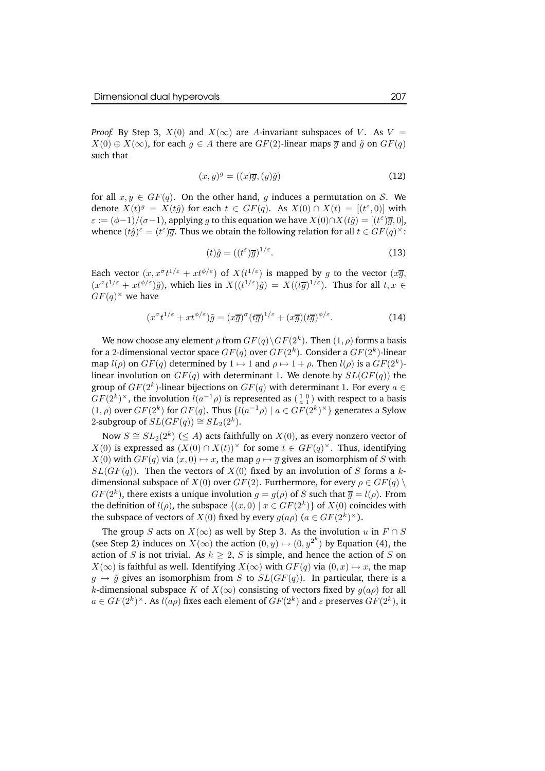*Proof.* By Step 3,  $X(0)$  and  $X(\infty)$  are A-invariant subspaces of V. As V =  $X(0) \oplus X(\infty)$ , for each  $g \in A$  there are  $GF(2)$ -linear maps  $\overline{g}$  and  $\tilde{g}$  on  $GF(q)$ such that

$$
(x,y)^g = ((x)\overline{g}, (y)\tilde{g})
$$
\n(12)

for all  $x, y \in GF(q)$ . On the other hand, q induces a permutation on S. We denote  $X(t)^g = X(t\hat{g})$  for each  $t \in GF(q)$ . As  $X(0) \cap X(t) = [(t^{\varepsilon}, 0)]$  with  $\varepsilon := (\phi - 1)/(\sigma - 1)$ , applying g to this equation we have  $X(0) \cap X(t\hat{g}) = [(t^{\varepsilon})\overline{g}, 0]$ , whence  $(t\hat{g})^{\varepsilon} = (t^{\varepsilon})\overline{g}$ . Thus we obtain the following relation for all  $t \in GF(q)^{\times}$ :

$$
(t)\hat{g} = ((t^{\varepsilon})\overline{g})^{1/\varepsilon}.
$$
\n(13)

Each vector  $(x, x^{\sigma}t^{1/\varepsilon} + xt^{\phi/\varepsilon})$  of  $X(t^{1/\varepsilon})$  is mapped by g to the vector  $(x\overline{g},$  $(x^{\sigma}t^{1/\varepsilon}+xt^{\phi/\varepsilon})\tilde{g})$ , which lies in  $X((t^{1/\varepsilon})\hat{g})=X((t\overline{g})^{1/\varepsilon})$ . Thus for all  $t, x \in$  $GF(q)^{\times}$  we have

$$
(x^{\sigma}t^{1/\varepsilon} + xt^{\phi/\varepsilon})\tilde{g} = (x\overline{g})^{\sigma}(t\overline{g})^{1/\varepsilon} + (x\overline{g})(t\overline{g})^{\phi/\varepsilon}.
$$
 (14)

We now choose any element  $\rho$  from  $GF(q) \backslash GF(2^k)$ . Then  $(1, \rho)$  forms a basis for a 2-dimensional vector space  $GF(q)$  over  $GF(2^k)$ . Consider a  $GF(2^k)$ -linear map  $l(\rho)$  on  $GF(q)$  determined by  $1 \mapsto 1$  and  $\rho \mapsto 1 + \rho$ . Then  $l(\rho)$  is a  $GF(2^k)$ linear involution on  $GF(q)$  with determinant 1. We denote by  $SL(GF(q))$  the group of  $GF(2^k)$ -linear bijections on  $GF(q)$  with determinant 1. For every  $a \in$  $GF(2^k)^\times$ , the involution  $l(a^{-1}\rho)$  is represented as  $(\frac{1}{a} \frac{0}{1})$  with respect to a basis  $(1, \rho)$  over  $GF(2^k)$  for  $GF(q)$ . Thus  $\{l(a^{-1}\rho) \mid a \in GF(2^k)^\times\}$  generates a Sylow 2-subgroup of  $SL(GF(q)) \cong SL_2(2^k)$ .

Now  $S \cong SL_2(2^k) \ (\leq A)$  acts faithfully on  $X(0)$ , as every nonzero vector of  $X(0)$  is expressed as  $(X(0) \cap X(t))^\times$  for some  $t \in GF(q)^\times$ . Thus, identifying  $X(0)$  with  $GF(q)$  via  $(x, 0) \mapsto x$ , the map  $q \mapsto \overline{q}$  gives an isomorphism of S with  $SL(GF(q))$ . Then the vectors of  $X(0)$  fixed by an involution of S forms a kdimensional subspace of  $X(0)$  over  $GF(2)$ . Furthermore, for every  $\rho \in GF(q) \setminus$  $GF(2<sup>k</sup>)$ , there exists a unique involution  $g = g(\rho)$  of S such that  $\overline{g} = l(\rho)$ . From the definition of  $l(\rho)$ , the subspace  $\{(x, 0) | x \in GF(2^k)\}$  of  $X(0)$  coincides with the subspace of vectors of  $X(0)$  fixed by every  $g(a\rho)$   $(a \in GF(2^k)^{\times})$ .

The group S acts on  $X(\infty)$  as well by Step 3. As the involution u in  $F \cap S$ (see Step 2) induces on  $X(\infty)$  the action  $(0, y) \mapsto (0, y^{2^k})$  by Equation (4), the action of S is not trivial. As  $k \geq 2$ , S is simple, and hence the action of S on  $X(\infty)$  is faithful as well. Identifying  $X(\infty)$  with  $GF(q)$  via  $(0, x) \mapsto x$ , the map  $q \mapsto \tilde{q}$  gives an isomorphism from S to  $SL(GF(q))$ . In particular, there is a k-dimensional subspace K of  $X(\infty)$  consisting of vectors fixed by  $g(a\rho)$  for all  $a \in GF(2^k)^\times$ . As  $l(a\rho)$  fixes each element of  $GF(2^k)$  and  $\varepsilon$  preserves  $GF(2^k)$ , it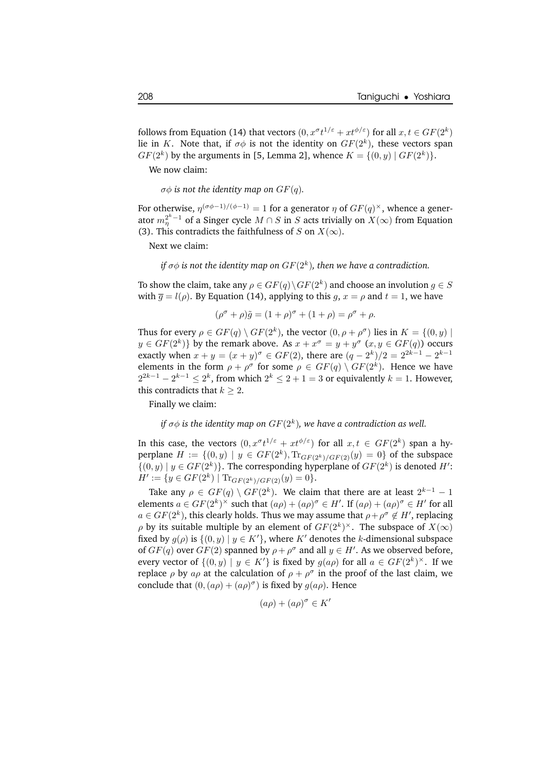follows from Equation (14) that vectors  $(0, x^{\sigma}t^{1/\varepsilon} + xt^{\phi/\varepsilon})$  for all  $x, t \in GF(2^k)$ lie in K. Note that, if  $\sigma\phi$  is not the identity on  $GF(2^k)$ , these vectors span  $GF(2<sup>k</sup>)$  by the arguments in [5, Lemma 2], whence  $K = \{(0, y) | GF(2<sup>k</sup>)\}.$ 

We now claim:

 $\sigma\phi$  *is* not the *identity* map on  $GF(q)$ .

For otherwise,  $\eta^{(\sigma\phi-1)/(\phi-1)}=1$  for a generator  $\eta$  of  $GF(q)^\times$ , whence a generator  $m_{\eta}^{2^k-1}$  of a Singer cycle  $M \cap S$  in  $S$  acts trivially on  $X(\infty)$  from Equation (3). This contradicts the faithfulness of S on  $X(\infty)$ .

Next we claim:

*if*  $\sigma\phi$  *is not the identity map on*  $GF(2^k)$ *, then we have a contradiction.* 

To show the claim, take any  $\rho \in GF(q) \setminus GF(2^k)$  and choose an involution  $g \in S$ with  $\overline{g} = l(\rho)$ . By Equation (14), applying to this  $q, x = \rho$  and  $t = 1$ , we have

$$
(\rho^{\sigma} + \rho)\tilde{g} = (1 + \rho)^{\sigma} + (1 + \rho) = \rho^{\sigma} + \rho.
$$

Thus for every  $\rho \in GF(q) \setminus GF(2^k)$ , the vector  $(0, \rho + \rho^{\sigma})$  lies in  $K = \{(0, y) \mid$  $y \in GF(2^k)$  by the remark above. As  $x + x^{\sigma} = y + y^{\sigma} (x, y \in GF(q))$  occurs exactly when  $x + y = (x + y)^{\sigma} \in GF(2)$ , there are  $(q - 2^k)/2 = 2^{2k-1} - 2^{k-1}$ elements in the form  $\rho + \rho^{\sigma}$  for some  $\rho \in GF(q) \setminus GF(2^k)$ . Hence we have  $2^{2k-1} - 2^{k-1} \leq 2^k$ , from which  $2^k \leq 2 + 1 = 3$  or equivalently  $k = 1$ . However, this contradicts that  $k > 2$ .

Finally we claim:

#### *if*  $\sigma\phi$  *is the identity map on*  $GF(2^k)$ *, we have a contradiction as well.*

In this case, the vectors  $(0, x^{\sigma}t^{1/\varepsilon} + xt^{\phi/\varepsilon})$  for all  $x, t \in GF(2^k)$  span a hyperplane  $H := \{(0, y) | y \in GF(2^k), \text{Tr}_{GF(2^k)/GF(2)}(y) = 0\}$  of the subspace  $\{(0, y) | y \in GF(2^k)\}\.$  The corresponding hyperplane of  $GF(2^k)$  is denoted  $H'$ :  $H' := \{y \in GF(2^k) \mid \text{Tr}_{GF(2^k)/GF(2)}(y) = 0\}.$ 

Take any  $\rho \in GF(q) \setminus GF(2^k)$ . We claim that there are at least  $2^{k-1} - 1$ elements  $a \in GF(2^k)^{\times}$  such that  $(a\rho) + (a\rho)^{\sigma} \in H'$ . If  $(a\rho) + (a\rho)^{\sigma} \in H'$  for all  $a \in GF(2^k)$ , this clearly holds. Thus we may assume that  $\rho + \rho^{\sigma} \not\in H'$ , replacing  $\rho$  by its suitable multiple by an element of  $GF(2^k)^\times$ . The subspace of  $X(\infty)$ fixed by  $g(\rho)$  is  $\{(0, y) | y \in K'\}$ , where K' denotes the k-dimensional subspace of  $GF(q)$  over  $GF(2)$  spanned by  $\rho + \rho^{\sigma}$  and all  $y \in H'$ . As we observed before, every vector of  $\{(0, y) \mid y \in K'\}$  is fixed by  $g(a\rho)$  for all  $a \in GF(2^k)^\times$ . If we replace  $\rho$  by  $a\rho$  at the calculation of  $\rho + \rho^{\sigma}$  in the proof of the last claim, we conclude that  $(0, (a\rho) + (a\rho)^{\sigma})$  is fixed by  $g(a\rho)$ . Hence

$$
(a\rho)+(a\rho)^\sigma\in K'
$$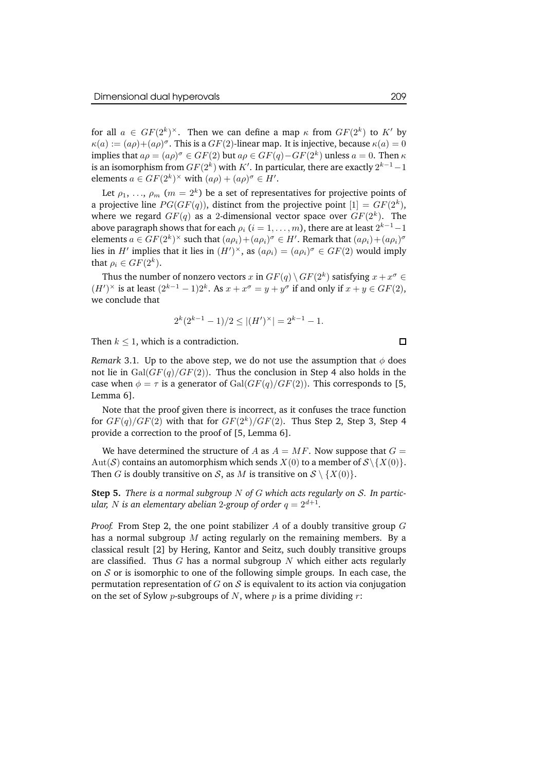for all  $a \in GF(2^k)^{\times}$ . Then we can define a map  $\kappa$  from  $GF(2^k)$  to  $K'$  by  $\kappa(a) := (a\rho) + (a\rho)^{\sigma}$ . This is a  $GF(2)$ -linear map. It is injective, because  $\kappa(a) = 0$ implies that  $a\rho = (a\rho)^\sigma \in GF(2)$  but  $a\rho \in GF(q) - GF(2^k)$  unless  $a = 0$ . Then  $\kappa$ is an isomorphism from  $GF(2^k)$  with  $K'$ . In particular, there are exactly  $2^{k-1}-1$ elements  $a \in GF(2^k)^{\times}$  with  $(a\rho) + (a\rho)^{\sigma} \in H'.$ 

Let  $\rho_1, \, ... , \, \rho_m$   $(m=2^k)$  be a set of representatives for projective points of a projective line  $PG(GF(q))$ , distinct from the projective point  $[1] = GF(2^k)$ , where we regard  $GF(q)$  as a 2-dimensional vector space over  $GF(2^k)$ . The above paragraph shows that for each  $\rho_i$   $(i=1,\ldots,m)$ , there are at least  $2^{k-1}-1$ elements  $a \in GF(2^k)^{\times}$  such that  $(a\rho_i)+(a\rho_i)^{\sigma} \in H'$ . Remark that  $(a\rho_i)+(a\rho_i)^{\sigma}$ lies in *H'* implies that it lies in  $(H')^{\times}$ , as  $(a\rho_i) = (a\rho_i)^{\sigma} \in GF(2)$  would imply that  $\rho_i \in GF(2^k)$ .

Thus the number of nonzero vectors  $x$  in  $GF(q) \setminus GF(2^k)$  satisfying  $x + x^{\sigma} \in$  $(H')^{\times}$  is at least  $(2^{k-1}-1)2^k$ . As  $x + x^{\sigma} = y + y^{\sigma}$  if and only if  $x + y \in GF(2)$ , we conclude that

$$
2^{k}(2^{k-1}-1)/2 \leq |(H')^{\times}| = 2^{k-1} - 1.
$$

Then  $k \leq 1$ , which is a contradiction.

*Remark* 3.1. Up to the above step, we do not use the assumption that  $\phi$  does not lie in  $Gal(GF(q)/GF(2))$ . Thus the conclusion in Step 4 also holds in the case when  $\phi = \tau$  is a generator of Gal( $GF(q)/GF(2)$ ). This corresponds to [5, Lemma 6].

Note that the proof given there is incorrect, as it confuses the trace function for  $GF(q)/GF(2)$  with that for  $GF(2^k)/GF(2)$ . Thus Step 2, Step 3, Step 4 provide a correction to the proof of [5, Lemma 6].

We have determined the structure of A as  $A = MF$ . Now suppose that  $G =$ Aut(S) contains an automorphism which sends  $X(0)$  to a member of  $S\{X(0)\}\$ . Then *G* is doubly transitive on *S*, as *M* is transitive on  $S \setminus \{X(0)\}.$ 

**Step 5.** *There is a normal subgroup* N *of* G *which acts regularly on* S*. In particular, N is an elementary abelian 2-group of order*  $q = 2^{d+1}$ *.* 

*Proof.* From Step 2, the one point stabilizer A of a doubly transitive group G has a normal subgroup  $M$  acting regularly on the remaining members. By a classical result [2] by Hering, Kantor and Seitz, such doubly transitive groups are classified. Thus  $G$  has a normal subgroup  $N$  which either acts regularly on  $S$  or is isomorphic to one of the following simple groups. In each case, the permutation representation of  $G$  on  $S$  is equivalent to its action via conjugation on the set of Sylow *p*-subgroups of N, where p is a prime dividing r:

 $\Box$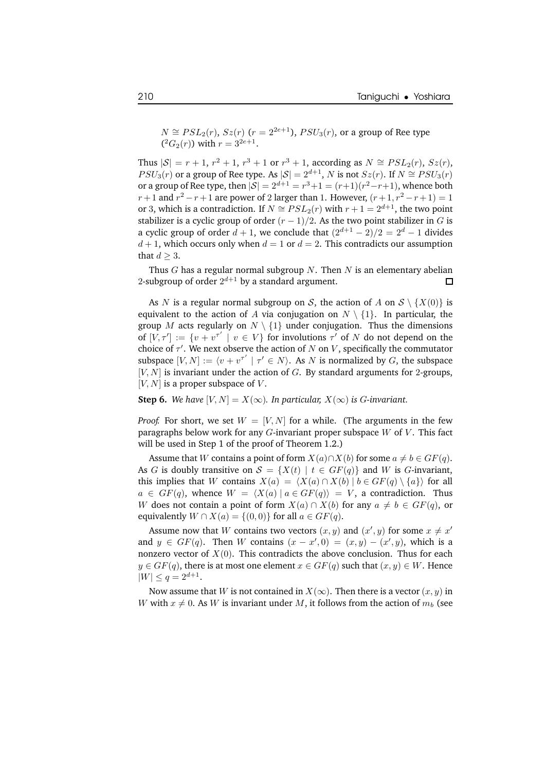$N \cong PSL_2(r)$ ,  $Sz(r)$   $(r = 2^{2e+1})$ ,  $PSU_3(r)$ , or a group of Ree type  $(^{2}G_{2}(r))$  with  $r = 3^{2e+1}$ .

Thus  $|S| = r + 1$ ,  $r^2 + 1$ ,  $r^3 + 1$  or  $r^3 + 1$ , according as  $N \cong PSL_2(r)$ ,  $Sz(r)$ ,  $PSU_3(r)$  or a group of Ree type. As  $|{\cal S}| = 2^{d+1}$ , N is not  $Sz(r)$ . If  $N \cong PSU_3(r)$ or a group of Ree type, then  $|S| = 2^{d+1} = r^3 + 1 = (r+1)(r^2 - r + 1)$ , whence both  $r+1$  and  $r^2 - r + 1$  are power of 2 larger than 1. However,  $(r+1, r^2 - r + 1) = 1$ or 3, which is a contradiction. If  $N \cong PSL_2(r)$  with  $r+1 = 2^{d+1}$ , the two point stabilizer is a cyclic group of order  $(r - 1)/2$ . As the two point stabilizer in G is a cyclic group of order  $d + 1$ , we conclude that  $(2^{d+1} - 2)/2 = 2^d - 1$  divides  $d+1$ , which occurs only when  $d=1$  or  $d=2$ . This contradicts our assumption that  $d \geq 3$ .

Thus  $G$  has a regular normal subgroup  $N$ . Then  $N$  is an elementary abelian 2-subgroup of order  $2^{d+1}$  by a standard argument.  $\Box$ 

As N is a regular normal subgroup on S, the action of A on  $S \setminus \{X(0)\}\$ is equivalent to the action of A via conjugation on  $N \setminus \{1\}$ . In particular, the group M acts regularly on  $N \setminus \{1\}$  under conjugation. Thus the dimensions of  $[V, \tau'] := \{v + v^{\tau'} \mid v \in V\}$  for involutions  $\tau'$  of N do not depend on the choice of  $\tau'$ . We next observe the action of  $N$  on  $V$ , specifically the commutator subspace  $[V, N] := \langle v + v^{\tau'} \mid \tau' \in N \rangle$ . As N is normalized by G, the subspace  $[V, N]$  is invariant under the action of  $G$ . By standard arguments for 2-groups,  $[V, N]$  is a proper subspace of V.

**Step 6.** We have  $[V, N] = X(\infty)$ . In particular,  $X(\infty)$  is G-invariant.

*Proof.* For short, we set  $W = [V, N]$  for a while. (The arguments in the few paragraphs below work for any  $G$ -invariant proper subspace  $W$  of  $V$ . This fact will be used in Step 1 of the proof of Theorem 1.2.)

Assume that W contains a point of form  $X(a) \cap X(b)$  for some  $a \neq b \in GF(q)$ . As G is doubly transitive on  $S = \{X(t) | t \in GF(q)\}\$ and W is G-invariant, this implies that W contains  $X(a) = \langle X(a) \cap X(b) | b \in GF(q) \setminus \{a\} \rangle$  for all  $a \in GF(q)$ , whence  $W = \langle X(a) | a \in GF(q) \rangle = V$ , a contradiction. Thus W does not contain a point of form  $X(a) \cap X(b)$  for any  $a \neq b \in GF(q)$ , or equivalently  $W \cap X(a) = \{(0, 0)\}\$ for all  $a \in GF(q)$ .

Assume now that  $W$  contains two vectors  $(x, y)$  and  $(x', y)$  for some  $x \neq x'$ and  $y \in GF(q)$ . Then W contains  $(x - x', 0) = (x, y) - (x', y)$ , which is a nonzero vector of  $X(0)$ . This contradicts the above conclusion. Thus for each  $y \in GF(q)$ , there is at most one element  $x \in GF(q)$  such that  $(x, y) \in W$ . Hence  $|W| \leq q = 2^{d+1}.$ 

Now assume that W is not contained in  $X(\infty)$ . Then there is a vector  $(x, y)$  in W with  $x \neq 0$ . As W is invariant under M, it follows from the action of  $m_b$  (see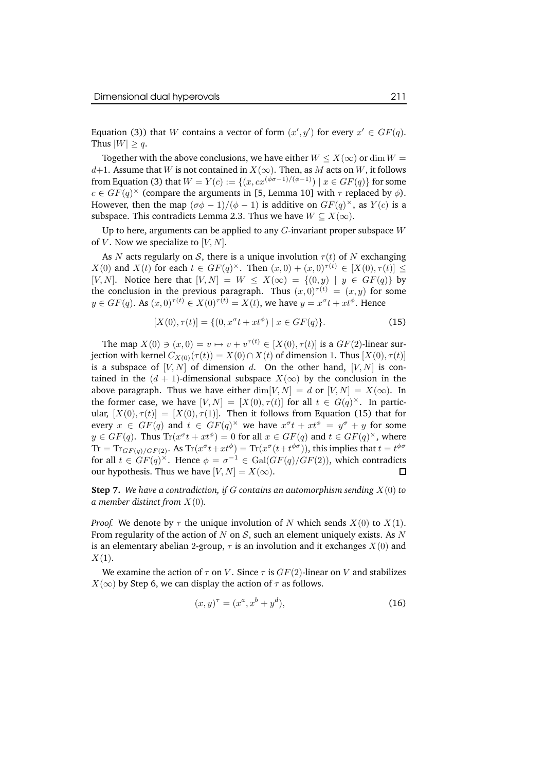Equation (3)) that W contains a vector of form  $(x', y')$  for every  $x' \in GF(q)$ . Thus  $|W| \geq q$ .

Together with the above conclusions, we have either  $W \le X(\infty)$  or dim  $W =$ d+1. Assume that W is not contained in  $X(\infty)$ . Then, as M acts on W, it follows from Equation (3) that  $W = Y(c) := \{(x, cx^{(\phi\sigma-1)/(\phi-1)}) \mid x \in GF(q)\}\)$  for some  $c \in GF(q)^{\times}$  (compare the arguments in [5, Lemma 10] with  $\tau$  replaced by  $\phi$ ). However, then the map  $(\sigma\phi - 1)/(\phi - 1)$  is additive on  $GF(q)^{\times}$ , as  $Y(c)$  is a subspace. This contradicts Lemma 2.3. Thus we have  $W \subseteq X(\infty)$ .

Up to here, arguments can be applied to any  $G$ -invariant proper subspace  $W$ of V. Now we specialize to  $[V, N]$ .

As N acts regularly on S, there is a unique involution  $\tau(t)$  of N exchanging  $X(0)$  and  $X(t)$  for each  $t \in GF(q)^{\times}$ . Then  $(x, 0) + (x, 0)^{\tau(t)} \in [X(0), \tau(t)] \le$ [V, N]. Notice here that  $[V, N] = W \leq X(\infty) = \{(0, y) | y \in GF(q)\}\$ the conclusion in the previous paragraph. Thus  $(x, 0)^{\tau(t)} = (x, y)$  for some  $y \in GF(q)$ . As  $(x, 0)^{\tau(t)} \in X(0)^{\tau(t)} = X(t)$ , we have  $y = x^{\sigma}t + xt^{\phi}$ . Hence

$$
[X(0), \tau(t)] = \{ (0, x^{\sigma} t + xt^{\phi}) \mid x \in GF(q) \}. \tag{15}
$$

The map  $X(0) \ni (x, 0) = v \mapsto v + v^{\tau(t)} \in [X(0), \tau(t)]$  is a  $GF(2)$ -linear surjection with kernel  $C_{X(0)}(\tau(t)) = X(0) \cap X(t)$  of dimension 1. Thus  $[X(0), \tau(t)]$ is a subspace of  $[V, N]$  of dimension d. On the other hand,  $[V, N]$  is contained in the  $(d + 1)$ -dimensional subspace  $X(\infty)$  by the conclusion in the above paragraph. Thus we have either  $\dim[V, N] = d$  or  $[V, N] = X(\infty)$ . In the former case, we have  $[V, N] = [X(0), \tau(t)]$  for all  $t \in G(q)^{\times}$ . In particular,  $[X(0), \tau(t)] = [X(0), \tau(1)]$ . Then it follows from Equation (15) that for every  $x \in GF(q)$  and  $t \in GF(q)^{\times}$  we have  $x^{\sigma}t + xt^{\phi} = y^{\sigma} + y$  for some  $y \in GF(q)$ . Thus  $\text{Tr}(x^{\sigma}t + xt^{\phi}) = 0$  for all  $x \in GF(q)$  and  $t \in GF(q)^{\times}$ , where  $\text{Tr} = \text{Tr}_{GF(q)/GF(2)}$ . As  $\text{Tr}(x^{\sigma}t + xt^{\phi}) = \text{Tr}(x^{\sigma}(t + t^{\phi\sigma}))$ , this implies that  $t = t^{\phi\sigma}$ for all  $t \in GF(q)^{\times}$ . Hence  $\phi = \sigma^{-1} \in Gal(GF(q)/GF(2))$ , which contradicts our hypothesis. Thus we have  $[V, N] = X(\infty)$ . П

**Step 7.** *We have a contradiction, if* G *contains an automorphism sending* X(0) *to a member distinct from* X(0)*.*

*Proof.* We denote by  $\tau$  the unique involution of N which sends  $X(0)$  to  $X(1)$ . From regularity of the action of N on S, such an element uniquely exists. As N is an elementary abelian 2-group,  $\tau$  is an involution and it exchanges  $X(0)$  and  $X(1)$ .

We examine the action of  $\tau$  on V. Since  $\tau$  is  $GF(2)$ -linear on V and stabilizes  $X(\infty)$  by Step 6, we can display the action of  $\tau$  as follows.

$$
(x, y)^{\tau} = (x^a, x^b + y^d), \tag{16}
$$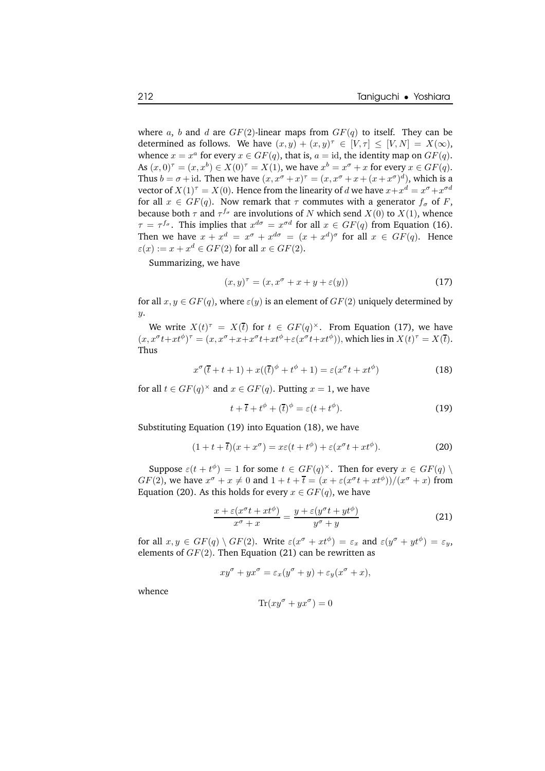where a, b and d are  $GF(2)$ -linear maps from  $GF(q)$  to itself. They can be determined as follows. We have  $(x, y) + (x, y)^{\tau} \in [V, \tau] \leq [V, N] = X(\infty)$ , whence  $x = x^a$  for every  $x \in GF(q)$ , that is,  $a = id$ , the identity map on  $GF(q)$ . As  $(x,0)^\tau = (x,x^b) \in X(0)^\tau = X(1)$ , we have  $x^b = x^\sigma + x$  for every  $x \in GF(q)$ . Thus  $b = \sigma + id$ . Then we have  $(x, x^{\sigma} + x)^{\tau} = (x, x^{\sigma} + x + (x + x^{\sigma})^d)$ , which is a vector of  $X(1)^\tau = X(0).$  Hence from the linearity of  $d$  we have  $x + x^d = x^\sigma + x^{\sigma d}$ for all  $x \in GF(q)$ . Now remark that  $\tau$  commutes with a generator  $f_{\sigma}$  of F, because both  $\tau$  and  $\tau^{f_{\sigma}}$  are involutions of N which send  $X(0)$  to  $X(1)$ , whence  $\tau = \tau^{f_{\sigma}}$ . This implies that  $x^{d_{\sigma}} = x^{\sigma d}$  for all  $x \in GF(q)$  from Equation (16). Then we have  $x + x^d = x^\sigma + x^{d\sigma} = (x + x^d)^\sigma$  for all  $x \in GF(q)$ . Hence  $\varepsilon(x) := x + x^d \in GF(2)$  for all  $x \in GF(2)$ .

Summarizing, we have

$$
(x,y)^{\tau} = (x, x^{\sigma} + x + y + \varepsilon(y))
$$
\n(17)

for all  $x, y \in GF(q)$ , where  $\varepsilon(y)$  is an element of  $GF(2)$  uniquely determined by  $y$ .

We write  $X(t)^{\tau} = X(\bar{t})$  for  $t \in GF(q)^{\times}$ . From Equation (17), we have  $(x, x^{\sigma}t+xt^{\phi})^{\tau} = (x, x^{\sigma}+x+x^{\sigma}t+xt^{\phi}+\varepsilon(x^{\sigma}t+xt^{\phi})),$  which lies in  $X(t)^{\tau} = X(\overline{t}).$ Thus

$$
x^{\sigma}(\overline{t} + t + 1) + x((\overline{t})^{\phi} + t^{\phi} + 1) = \varepsilon (x^{\sigma} t + xt^{\phi})
$$
\n(18)

for all  $t \in GF(q)^{\times}$  and  $x \in GF(q)$ . Putting  $x = 1$ , we have

$$
t + \overline{t} + t^{\phi} + (\overline{t})^{\phi} = \varepsilon (t + t^{\phi}). \tag{19}
$$

Substituting Equation (19) into Equation (18), we have

$$
(1+t+\overline{t})(x+x^{\sigma}) = x\varepsilon(t+t^{\phi}) + \varepsilon(x^{\sigma}t + xt^{\phi}).
$$
\n(20)

Suppose  $\varepsilon(t + t^{\phi}) = 1$  for some  $t \in GF(q)^{\times}$ . Then for every  $x \in GF(q) \setminus$  $GF(2)$ , we have  $x^{\sigma} + x \neq 0$  and  $1 + t + \overline{t} = (x + \varepsilon(x^{\sigma}t + xt^{\phi}))/(x^{\sigma} + x)$  from Equation (20). As this holds for every  $x \in GF(q)$ , we have

$$
\frac{x + \varepsilon(x^{\sigma}t + xt^{\phi})}{x^{\sigma} + x} = \frac{y + \varepsilon(y^{\sigma}t + yt^{\phi})}{y^{\sigma} + y}
$$
(21)

for all  $x, y \in GF(q) \setminus GF(2)$ . Write  $\varepsilon(x^{\sigma} + xt^{\phi}) = \varepsilon_x$  and  $\varepsilon(y^{\sigma} + yt^{\phi}) = \varepsilon_y$ , elements of  $GF(2)$ . Then Equation (21) can be rewritten as

$$
xy^{\sigma} + yx^{\sigma} = \varepsilon_x(y^{\sigma} + y) + \varepsilon_y(x^{\sigma} + x),
$$

whence

$$
\text{Tr}(xy^{\sigma} + yx^{\sigma}) = 0
$$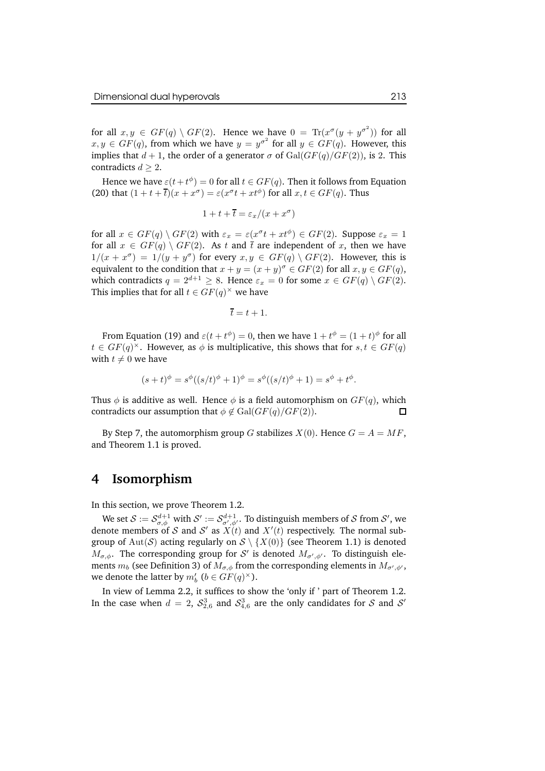for all  $x, y \in GF(q) \setminus GF(2)$ . Hence we have  $0 = \text{Tr}(x^{\sigma}(y + y^{\sigma^2}))$  for all  $x, y \in GF(q)$ , from which we have  $y = y^{\sigma^2}$  for all  $y \in GF(q)$ . However, this implies that  $d + 1$ , the order of a generator  $\sigma$  of  $Gal(GF(q)/GF(2))$ , is 2. This contradicts  $d > 2$ .

Hence we have  $\underline{\varepsilon}(t+t^{\phi})=0$  for all  $t\in GF(q)$ . Then it follows from Equation (20) that  $(1 + t + \overline{t})(x + x^{\sigma}) = \varepsilon(x^{\sigma}t + xt^{\phi})$  for all  $x, t \in GF(q)$ . Thus

$$
1 + t + \overline{t} = \varepsilon_x / (x + x^{\sigma})
$$

for all  $x \in GF(q) \setminus GF(2)$  with  $\varepsilon_x = \varepsilon(x^{\sigma}t + xt^{\phi}) \in GF(2)$ . Suppose  $\varepsilon_x = 1$ for all  $x \in GF(q) \setminus GF(2)$ . As t and t are independent of x, then we have  $1/(x+x^{\sigma}) = 1/(y+y^{\sigma})$  for every  $x, y \in GF(q) \setminus GF(2)$ . However, this is equivalent to the condition that  $x + y = (x + y)^{\sigma} \in GF(2)$  for all  $x, y \in GF(q)$ , which contradicts  $q = 2^{d+1} \geq 8$ . Hence  $\varepsilon_x = 0$  for some  $x \in GF(q) \setminus GF(2)$ . This implies that for all  $t \in GF(q)^{\times}$  we have

$$
\overline{t}=t+1.
$$

From Equation (19) and  $\varepsilon(t+t^{\phi})=0$ , then we have  $1+t^{\phi}=(1+t)^{\phi}$  for all  $t \in GF(q)^{\times}$ . However, as  $\phi$  is multiplicative, this shows that for  $s, t \in GF(q)$ with  $t \neq 0$  we have

$$
(s+t)^{\phi} = s^{\phi}((s/t)^{\phi} + 1)^{\phi} = s^{\phi}((s/t)^{\phi} + 1) = s^{\phi} + t^{\phi}.
$$

Thus  $\phi$  is additive as well. Hence  $\phi$  is a field automorphism on  $GF(q)$ , which contradicts our assumption that  $\phi \notin \text{Gal}(GF(q)/GF(2)).$ П

By Step 7, the automorphism group G stabilizes  $X(0)$ . Hence  $G = A = MF$ , and Theorem 1.1 is proved.

## **4 Isomorphism**

In this section, we prove Theorem 1.2.

We set  $\mathcal{S}:=\mathcal{S}_{\sigma,\phi}^{d+1}$  with  $\mathcal{S}':=\mathcal{S}_{\sigma',\phi'}^{d+1}$ . To distinguish members of  $\mathcal{S}$  from  $\mathcal{S}',$  we denote members of S and S' as  $X(t)$  and  $X'(t)$  respectively. The normal subgroup of Aut(S) acting regularly on  $S \setminus \{X(0)\}\$  (see Theorem 1.1) is denoted  $M_{\sigma,\phi}$ . The corresponding group for S' is denoted  $M_{\sigma',\phi'}$ . To distinguish elements  $m_b$  (see Definition 3) of  $M_{\sigma,\phi}$  from the corresponding elements in  $M_{\sigma',\phi'},$ we denote the latter by  $m_b'$   $(b \in GF(q)^{\times})$ .

In view of Lemma 2.2, it suffices to show the 'only if ' part of Theorem 1.2. In the case when  $d = 2$ ,  $\mathcal{S}_{2,6}^3$  and  $\mathcal{S}_{4,6}^3$  are the only candidates for  $\mathcal S$  and  $\mathcal S'$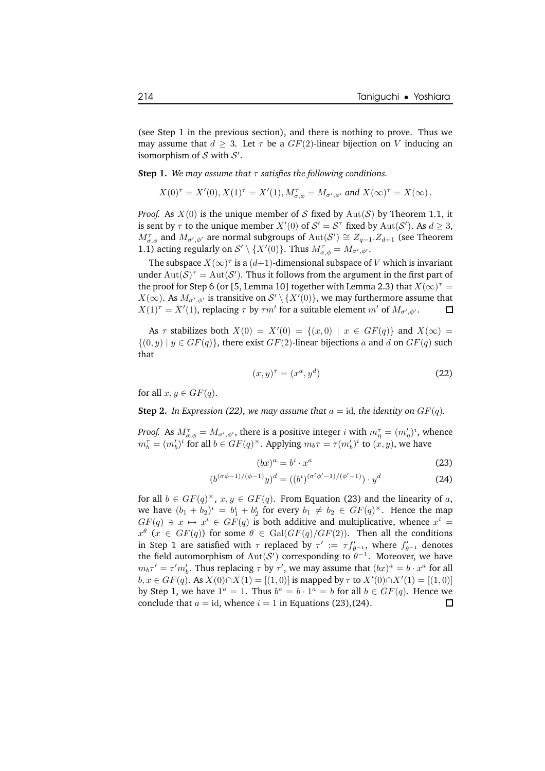(see Step 1 in the previous section), and there is nothing to prove. Thus we may assume that  $d \geq 3$ . Let  $\tau$  be a  $GF(2)$ -linear bijection on V inducing an isomorphism of  $S$  with  $S'$ .

**Step 1.** We may assume that  $\tau$  satisfies the following conditions.

$$
X(0)^{\tau} = X'(0), X(1)^{\tau} = X'(1), M^{\tau}_{\sigma,\phi} = M_{\sigma',\phi'}
$$
 and  $X(\infty)^{\tau} = X(\infty)$ .

*Proof.* As  $X(0)$  is the unique member of S fixed by  $Aut(S)$  by Theorem 1.1, it is sent by  $\tau$  to the unique member  $X'(0)$  of  $S' = S^{\tau}$  fixed by  $\text{Aut}(S')$ . As  $d \geq 3$ ,  $M_{\sigma,\phi}^{\tau}$  and  $M_{\sigma',\phi'}$  are normal subgroups of  ${\rm Aut}({\cal S}')\cong Z_{q-1}.Z_{d+1}$  (see Theorem 1.1) acting regularly on  $S' \setminus \{X'(0)\}$ . Thus  $M^{\tau}_{\sigma,\phi} = M_{\sigma',\phi'}$ .

The subspace  $X(\infty)^\tau$  is a  $(d{+}1)$  -dimensional subspace of  $V$  which is invariant under  $\mathrm{Aut}(\mathcal{S})^{\tau} = \mathrm{Aut}(\mathcal{S}')$ . Thus it follows from the argument in the first part of the proof for Step 6 (or [5, Lemma 10] together with Lemma 2.3) that  $X(\infty)^\tau =$  $X(\infty)$ . As  $M_{\sigma',\phi'}$  is transitive on  $\mathcal{S}'\setminus\{X'(0)\}$ , we may furthermore assume that  $X(1)^\tau = X'(1)$ , replacing  $\tau$  by  $\tau m'$  for a suitable element  $m'$  of  $M_{\sigma',\phi'}$ .  $\Box$ 

As  $\tau$  stabilizes both  $X(0) = X'(0) = \{(x, 0) | x \in GF(q)\}\$ and  $X(\infty) =$  $\{(0, y) | y \in GF(q)\}\)$ , there exist  $GF(2)$ -linear bijections a and d on  $GF(q)$  such that

$$
(x,y)^{\tau} = (x^a, y^d) \tag{22}
$$

for all  $x, y \in GF(q)$ .

 $\overline{(\ }$ 

**Step 2.** In Expression (22), we may assume that  $a = id$ , the *identity* on  $GF(q)$ .

*Proof.* As  $M^{\tau}_{\sigma,\phi} = M_{\sigma',\phi'}$ , there is a positive integer *i* with  $m^{\tau}_{\eta} = (m'_{\eta})^i$ , whence  $m_b^{\tau} = (m_b')^i$  for all  $b \in GF(q)^{\times}$ . Applying  $m_b \tau = \tau(m_b')^i$  to  $(x, y)$ , we have

$$
(bx)^a = b^i \cdot x^a \tag{23}
$$

$$
b^{(\sigma\phi-1)/(\phi-1)}y)^d = ((b^i)^{(\sigma'\phi'-1)/(\phi'-1)}) \cdot y^d \tag{24}
$$

for all  $b \in GF(q)^{\times}, x, y \in GF(q)$ . From Equation (23) and the linearity of a, we have  $(b_1 + b_2)^i = b_1^i + b_2^i$  for every  $b_1 \neq b_2 \in GF(q)^{\times}$ . Hence the map  $GF(q) \ni x \mapsto x^i \in GF(q)$  is both additive and multiplicative, whence  $x^i =$  $x^{\theta}$  ( $x \in GF(q)$ ) for some  $\theta \in Gal(GF(q)/GF(2))$ . Then all the conditions in Step 1 are satisfied with  $\tau$  replaced by  $\tau' := \tau f'_{\theta^{-1}}$ , where  $f'_{\theta^{-1}}$  denotes the field automorphism of  $\text{Aut}(\mathcal{S}')$  corresponding to  $\theta^{-1}$ . Moreover, we have  $m_b\tau' = \tau' m'_b$ . Thus replacing  $\tau$  by  $\tau'$ , we may assume that  $(bx)^a = b \cdot x^a$  for all  $b, x \in GF(q).$  As  $X(0) \cap X(1) = [(1, 0)]$  is mapped by  $\tau$  to  $X'(0) \cap X'(1) = [(1, 0)]$ by Step 1, we have  $1^a = 1$ . Thus  $b^a = b \cdot 1^a = b$  for all  $b \in GF(q)$ . Hence we conclude that  $a = id$ , whence  $i = 1$  in Equations (23),(24).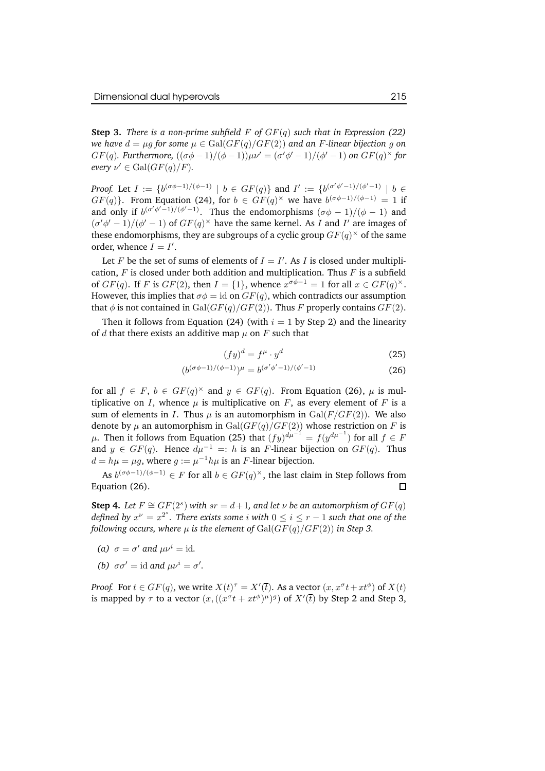**Step 3.** *There is a non-prime subfield*  $F$  *of*  $GF(q)$  *such that in Expression* (22) *we* have  $d = \mu q$  for some  $\mu \in \text{Gal}(GF(q)/GF(2))$  and an F-linear bijection g on  $GF(q)$ . Furthermore,  $((\sigma\phi - 1)/(\phi - 1))\mu\nu' = (\sigma'\phi' - 1)/(\phi' - 1)$  on  $GF(q)^{\times}$  for *every*  $\nu' \in \text{Gal}(GF(q)/F)$ *.* 

*Proof.* Let  $I := \{b^{(\sigma\phi-1)/(\phi-1)} \mid b \in GF(q)\}\$  and  $I' := \{b^{(\sigma'\phi'-1)/(\phi'-1)} \mid b \in F(q)\}$  $GF(q)$ . From Equation (24), for  $b \in GF(q)^{\times}$  we have  $b^{(\sigma\phi-1)/(\phi-1)} = 1$  if and only if  $b^{(\sigma'\phi'-1)/(\phi'-1)}$ . Thus the endomorphisms  $(\sigma\phi-1)/(\phi-1)$  and  $(\sigma'\phi' - 1)/(\phi' - 1)$  of  $GF(q)^\times$  have the same kernel. As I and I' are images of these endomorphisms, they are subgroups of a cyclic group  $GF(q)^{\times}$  of the same order, whence  $I = I'$ .

Let F be the set of sums of elements of  $I = I'$ . As I is closed under multiplication,  $F$  is closed under both addition and multiplication. Thus  $F$  is a subfield of  $GF(q)$ . If F is  $GF(2)$ , then  $I = \{1\}$ , whence  $x^{\sigma\phi-1} = 1$  for all  $x \in GF(q)^{\times}$ . However, this implies that  $\sigma \phi = id$  on  $GF(q)$ , which contradicts our assumption that  $\phi$  is not contained in Gal( $GF(q)/GF(2)$ ). Thus F properly contains  $GF(2)$ .

Then it follows from Equation (24) (with  $i = 1$  by Step 2) and the linearity of d that there exists an additive map  $\mu$  on F such that

$$
(fy)^d = f^\mu \cdot y^d \tag{25}
$$

$$
(b^{(\sigma\phi-1)/(\phi-1)})^{\mu} = b^{(\sigma'\phi'-1)/(\phi'-1)}
$$
\n(26)

for all  $f \in F$ ,  $b \in GF(q)^{\times}$  and  $y \in GF(q)$ . From Equation (26),  $\mu$  is multiplicative on I, whence  $\mu$  is multiplicative on F, as every element of F is a sum of elements in I. Thus  $\mu$  is an automorphism in  $Gal(F/GF(2))$ . We also denote by  $\mu$  an automorphism in  $Gal(GF(q)/GF(2))$  whose restriction on  $F$  is  $\mu$ . Then it follows from Equation (25) that  $(fy)^{d\mu^{-1}} = f(y^{d\mu^{-1}})$  for all  $f \in F$ and  $y \in GF(q)$ . Hence  $d\mu^{-1} =: h$  is an F-linear bijection on  $GF(q)$ . Thus  $d = h\mu = \mu g$ , where  $g := \mu^{-1}h\mu$  is an F-linear bijection.

As  $b^{(\sigma\phi-1)/(\phi-1)} \in F$  for all  $b \in GF(q)^{\times}$ , the last claim in Step follows from Equation (26).  $\Box$ 

**Step 4.** Let  $F \cong GF(2^s)$  with  $sr = d+1$ , and let  $\nu$  be an automorphism of  $GF(q)$ *defined by*  $x^{\nu} = x^{2^s}$ . *There exists some i* with  $0 \leq i \leq r - 1$  *such that one of the following occurs, where*  $\mu$  *is the element of*  $Gal(GF(q)/GF(2))$  *in Step 3.* 

- (*a*)  $\sigma = \sigma'$  *and*  $\mu \nu^i = id$ *.*
- *(b)*  $\sigma \sigma' = \text{id}$  *and*  $\mu \nu^i = \sigma'$ *.*

*Proof.* For  $t \in GF(q)$ , we write  $X(t)^\tau = X'(t)$ . As a vector  $(x, x^\sigma t + xt^\phi)$  of  $X(t)$ is mapped by  $\tau$  to a vector  $(x, ((x^{\sigma}t + xt^{\phi})^{\mu})^g)$  of  $X'(\overline{t})$  by Step 2 and Step 3,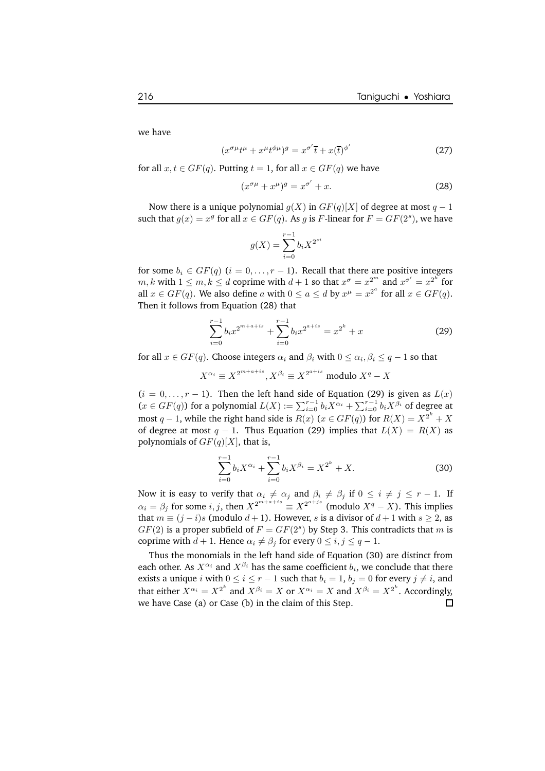we have

$$
(x^{\sigma\mu}t^{\mu} + x^{\mu}t^{\phi\mu})^g = x^{\sigma'}\overline{t} + x(\overline{t})^{\phi'}
$$
 (27)

for all  $x, t \in GF(q)$ . Putting  $t = 1$ , for all  $x \in GF(q)$  we have

$$
(x^{\sigma \mu} + x^{\mu})^g = x^{\sigma'} + x.
$$
 (28)

Now there is a unique polynomial  $g(X)$  in  $GF(q)[X]$  of degree at most  $q-1$ such that  $g(x) = x^g$  for all  $x \in GF(q)$ . As g is F-linear for  $F = GF(2^s)$ , we have

$$
g(X) = \sum_{i=0}^{r-1} b_i X^{2^{si}}
$$

for some  $b_i \in GF(q)$   $(i = 0, \ldots, r - 1)$ . Recall that there are positive integers  $m, k$  with  $1 \leq m, k \leq d$  coprime with  $d+1$  so that  $x^{\sigma} = x^{2^m}$  and  $x^{\sigma'} = x^{2^k}$  for all  $x \in GF(q)$ . We also define a with  $0 \le a \le d$  by  $x^{\mu} = x^{2^a}$  for all  $x \in GF(q)$ . Then it follows from Equation (28) that

$$
\sum_{i=0}^{r-1} b_i x^{2^{m+a+is}} + \sum_{i=0}^{r-1} b_i x^{2^{a+is}} = x^{2^k} + x
$$
 (29)

for all  $x \in GF(q)$ . Choose integers  $\alpha_i$  and  $\beta_i$  with  $0 \leq \alpha_i, \beta_i \leq q-1$  so that

$$
X^{\alpha_i} \equiv X^{2^{m+a+is}}, X^{\beta_i} \equiv X^{2^{a+is}} \text{ modulo } X^q - X
$$

 $(i = 0, \ldots, r - 1)$ . Then the left hand side of Equation (29) is given as  $L(x)$  $(x \in GF(q))$  for a polynomial  $L(X) := \sum_{i=0}^{r-1} b_i X^{\alpha_i} + \sum_{i=0}^{r-1} b_i X^{\beta_i}$  of degree at most  $q - 1$ , while the right hand side is  $R(x)$  ( $x \in GF(q)$ ) for  $R(X) = X^{2^k} + X$ of degree at most  $q - 1$ . Thus Equation (29) implies that  $L(X) = R(X)$  as polynomials of  $GF(q)[X]$ , that is,

$$
\sum_{i=0}^{r-1} b_i X^{\alpha_i} + \sum_{i=0}^{r-1} b_i X^{\beta_i} = X^{2^k} + X.
$$
 (30)

Now it is easy to verify that  $\alpha_i \neq \alpha_j$  and  $\beta_i \neq \beta_j$  if  $0 \leq i \neq j \leq r - 1$ . If  $\alpha_i = \beta_j$  for some  $i, j$ , then  $X^{2^{m+a+is}} \equiv X^{2^{a+js}}$  (modulo  $X^q - X$ ). This implies that  $m \equiv (j - i)s$  (modulo  $d + 1$ ). However, s is a divisor of  $d + 1$  with  $s \ge 2$ , as  $GF(2)$  is a proper subfield of  $F = GF(2<sup>s</sup>)$  by Step 3. This contradicts that m is coprime with  $d + 1$ . Hence  $\alpha_i \neq \beta_j$  for every  $0 \leq i, j \leq q - 1$ .

Thus the monomials in the left hand side of Equation (30) are distinct from each other. As  $X^{\alpha_i}$  and  $X^{\beta_i}$  has the same coefficient  $b_i$ , we conclude that there exists a unique i with  $0 \le i \le r - 1$  such that  $b_i = 1$ ,  $b_j = 0$  for every  $j \ne i$ , and that either  $X^{\alpha_i} = X^{2^k}$  and  $X^{\beta_i} = X$  or  $X^{\alpha_i} = X$  and  $X^{\beta_i} = X^{2^k}$ . Accordingly, we have Case (a) or Case (b) in the claim of this Step. $\Box$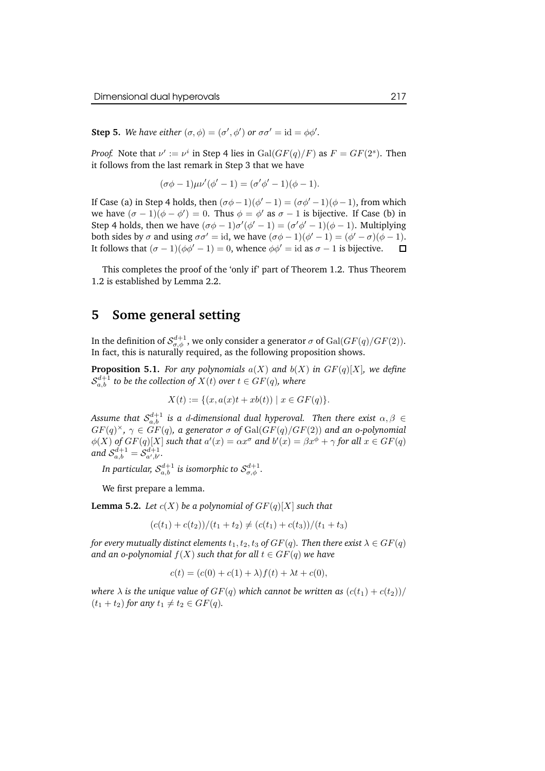**Step 5.** We have either  $(\sigma, \phi) = (\sigma', \phi')$  or  $\sigma \sigma' = id = \phi \phi'.$ 

*Proof.* Note that  $\nu' := \nu^i$  in Step 4 lies in  $Gal(GF(q)/F)$  as  $F = GF(2^s)$ . Then it follows from the last remark in Step 3 that we have

$$
(\sigma\phi - 1)\mu\nu'(\phi' - 1) = (\sigma'\phi' - 1)(\phi - 1).
$$

If Case (a) in Step 4 holds, then  $(\sigma\phi - 1)(\phi' - 1) = (\sigma\phi' - 1)(\phi - 1)$ , from which we have  $(\sigma - 1)(\phi - \phi') = 0$ . Thus  $\phi = \phi'$  as  $\sigma - 1$  is bijective. If Case (b) in Step 4 holds, then we have  $(\sigma\phi - 1)\sigma'(\phi' - 1) = (\sigma'\phi' - 1)(\phi - 1)$ . Multiplying both sides by  $\sigma$  and using  $\sigma \sigma' = id$ , we have  $(\sigma \phi - 1)(\phi' - 1) = (\phi' - \sigma)(\phi - 1)$ . It follows that  $(\sigma - 1)(\phi \phi' - 1) = 0$ , whence  $\phi \phi' = id$  as  $\sigma - 1$  is bijective.

This completes the proof of the 'only if' part of Theorem 1.2. Thus Theorem 1.2 is established by Lemma 2.2.

### **5 Some general setting**

In the definition of  $\mathcal{S}^{d+1}_{\sigma,\phi}$  , we only consider a generator  $\sigma$  of  $\mathrm{Gal}(GF(q)/GF(2)).$ In fact, this is naturally required, as the following proposition shows.

**Proposition 5.1.** For any polynomials  $a(X)$  and  $b(X)$  in  $GF(q)[X]$ *, we define*  $\mathcal{S}_{a,b}^{d+1}$  to be the collection of  $X(t)$  over  $t \in GF(q)$ , where

$$
X(t) := \{ (x, a(x)t + xb(t)) \mid x \in GF(q) \}.
$$

Assume that  $\mathcal{S}_{a,b}^{d+1}$  is a  $d$ -dimensional dual hyperoval. Then there exist  $\alpha,\beta\in$  $GF(q)^{\times}, \ \gamma \in GF(q), \ a \ generator \ \sigma \ of \ Gal(GF(q)/GF(2)) \ and \ an \ o\text{-polynomial}$  $\phi(X)$  of  $GF(q)[X]$  such that  $a'(x) = \alpha x^{\sigma}$  and  $b'(x) = \beta x^{\phi} + \gamma$  for all  $x \in GF(q)$ and  $S_{a,b}^{d+1} = S_{a',b'}^{d+1}$ .

In particular,  $\mathcal{S}_{a,b}^{d+1}$  is isomorphic to  $\mathcal{S}_{\sigma,\phi}^{d+1}.$ 

We first prepare a lemma.

**Lemma 5.2.** *Let*  $c(X)$  *be a polynomial of*  $GF(q)[X]$  *such that* 

$$
(c(t1) + c(t2))/(t1 + t2) \neq (c(t1) + c(t3))/(t1 + t3)
$$

*for every mutually distinct elements*  $t_1, t_2, t_3$  *of*  $GF(q)$ *. Then there exist*  $\lambda \in GF(q)$ *and* an *o-polynomial*  $f(X)$  *such that* for all  $t \in GF(q)$  *we have* 

$$
c(t) = (c(0) + c(1) + \lambda) f(t) + \lambda t + c(0),
$$

*where*  $\lambda$  *is the unique value of*  $GF(q)$  *which cannot be written as*  $(c(t_1) + c(t_2))/$  $(t_1 + t_2)$  *for any*  $t_1 \neq t_2 \in GF(q)$ *.*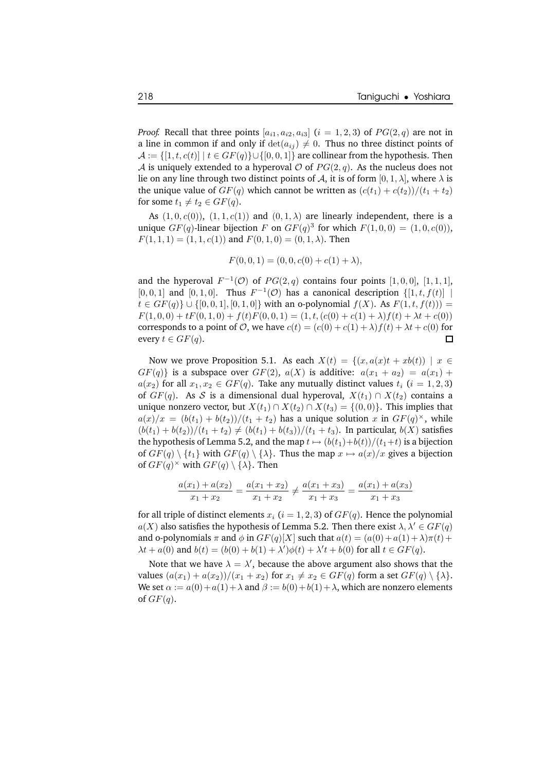*Proof.* Recall that three points  $[a_{i1}, a_{i2}, a_{i3}]$   $(i = 1, 2, 3)$  of  $PG(2, q)$  are not in a line in common if and only if  $\det(a_{ij}) \neq 0$ . Thus no three distinct points of  $\mathcal{A} := \{ [1, t, c(t)] \mid t \in GF(q) \} \cup \{ [0, 0, 1] \}$  are collinear from the hypothesis. Then A is uniquely extended to a hyperoval  $\mathcal O$  of  $PG(2, q)$ . As the nucleus does not lie on any line through two distinct points of A, it is of form  $[0, 1, \lambda]$ , where  $\lambda$  is the unique value of  $GF(q)$  which cannot be written as  $(c(t_1) + c(t_2))/(t_1 + t_2)$ for some  $t_1 \neq t_2 \in GF(q)$ .

As  $(1, 0, c(0))$ ,  $(1, 1, c(1))$  and  $(0, 1, \lambda)$  are linearly independent, there is a unique  $GF(q)$ -linear bijection F on  $GF(q)^3$  for which  $F(1, 0, 0) = (1, 0, c(0)),$  $F(1, 1, 1) = (1, 1, c(1))$  and  $F(0, 1, 0) = (0, 1, \lambda)$ . Then

$$
F(0,0,1) = (0,0,c(0) + c(1) + \lambda),
$$

and the hyperoval  $F^{-1}(O)$  of  $PG(2,q)$  contains four points  $[1,0,0]$ ,  $[1,1,1]$ , [0, 0, 1] and [0, 1, 0]. Thus  $F^{-1}(\mathcal{O})$  has a canonical description  $\{[1, t, f(t)] \mid$  $t \in GF(q) \cup \{[0, 0, 1], [0, 1, 0]\}$  with an o-polynomial  $f(X)$ . As  $F(1, t, f(t))) =$  $F(1, 0, 0) + tF(0, 1, 0) + f(t)F(0, 0, 1) = (1, t, (c(0) + c(1) + \lambda)f(t) + \lambda t + c(0))$ corresponds to a point of  $\mathcal{O}$ , we have  $c(t) = (c(0) + c(1) + \lambda) f(t) + \lambda t + c(0)$  for every  $t \in GF(a)$ every  $t \in GF(q)$ .

Now we prove Proposition 5.1. As each  $X(t) = \{(x, a(x)t + xb(t)) \mid x \in$  $GF(q)$  is a subspace over  $GF(2)$ ,  $a(X)$  is additive:  $a(x_1 + a_2) = a(x_1) + b(x_2)$  $a(x_2)$  for all  $x_1, x_2 \in GF(q)$ . Take any mutually distinct values  $t_i$   $(i = 1, 2, 3)$ of  $GF(q)$ . As S is a dimensional dual hyperoval,  $X(t_1) \cap X(t_2)$  contains a unique nonzero vector, but  $X(t_1) \cap X(t_2) \cap X(t_3) = \{(0,0)\}\.$  This implies that  $a(x)/x = (b(t_1) + b(t_2))/(t_1 + t_2)$  has a unique solution  $x$  in  $GF(q)^{\times}$ , while  $(b(t_1) + b(t_2))/(t_1 + t_2) \neq (b(t_1) + b(t_3))/(t_1 + t_3)$ . In particular,  $b(X)$  satisfies the hypothesis of Lemma 5.2, and the map  $t \mapsto (b(t_1)+b(t))/(t_1+t)$  is a bijection of  $GF(q) \setminus \{t_1\}$  with  $GF(q) \setminus \{\lambda\}$ . Thus the map  $x \mapsto a(x)/x$  gives a bijection of  $GF(q)^{\times}$  with  $GF(q) \setminus {\lambda}$ . Then

$$
\frac{a(x_1) + a(x_2)}{x_1 + x_2} = \frac{a(x_1 + x_2)}{x_1 + x_2} \neq \frac{a(x_1 + x_3)}{x_1 + x_3} = \frac{a(x_1) + a(x_3)}{x_1 + x_3}
$$

for all triple of distinct elements  $x_i$  ( $i = 1, 2, 3$ ) of  $GF(q)$ . Hence the polynomial  $a(X)$  also satisfies the hypothesis of Lemma 5.2. Then there exist  $\lambda, \lambda' \in GF(q)$ and o-polynomials  $\pi$  and  $\phi$  in  $GF(q)[X]$  such that  $a(t) = (a(0) + a(1) + \lambda)\pi(t) +$  $\lambda t + a(0)$  and  $b(t) = (b(0) + b(1) + \lambda')\phi(t) + \lambda' t + b(0)$  for all  $t \in GF(q)$ .

Note that we have  $\lambda = \lambda'$ , because the above argument also shows that the values  $(a(x_1) + a(x_2))/(x_1 + x_2)$  for  $x_1 \neq x_2 \in GF(q)$  form a set  $GF(q) \setminus {\{\lambda\}}$ . We set  $\alpha := a(0) + a(1) + \lambda$  and  $\beta := b(0) + b(1) + \lambda$ , which are nonzero elements of  $GF(q)$ .